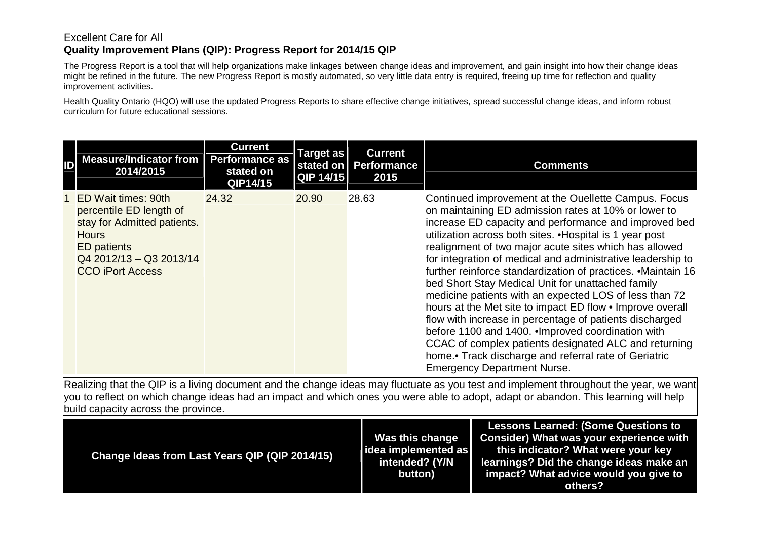## Excellent Care for All **Quality Improvement Plans (QIP): Progress Report for 2014/15 QIP**

The Progress Report is a tool that will help organizations make linkages between change ideas and improvement, and gain insight into how their change ideas might be refined in the future. The new Progress Report is mostly automated, so very little data entry is required, freeing up time for reflection and quality improvement activities.

Health Quality Ontario (HQO) will use the updated Progress Reports to share effective change initiatives, spread successful change ideas, and inform robust curriculum for future educational sessions.

| ID | Measure/Indicator from<br>2014/2015                                                                                                                                       | <b>Current</b><br><b>Performance as</b><br>stated on<br>QIP14/15 | <b>Target as</b><br><b>QIP 14/15</b> | <b>Current</b><br>stated on   Performance<br>2015 | <b>Comments</b>                                                                                                                                                                                                                                                                                                                                                                                                                                                                                                                                                                                                                                                                                                                                                                                                                                                                |
|----|---------------------------------------------------------------------------------------------------------------------------------------------------------------------------|------------------------------------------------------------------|--------------------------------------|---------------------------------------------------|--------------------------------------------------------------------------------------------------------------------------------------------------------------------------------------------------------------------------------------------------------------------------------------------------------------------------------------------------------------------------------------------------------------------------------------------------------------------------------------------------------------------------------------------------------------------------------------------------------------------------------------------------------------------------------------------------------------------------------------------------------------------------------------------------------------------------------------------------------------------------------|
|    | ED Wait times: 90th<br>percentile ED length of<br>stay for Admitted patients.<br><b>Hours</b><br><b>ED</b> patients<br>$Q42012/13 - Q32013/14$<br><b>CCO iPort Access</b> | 24.32                                                            | 20.90                                | 28.63                                             | Continued improvement at the Ouellette Campus. Focus<br>on maintaining ED admission rates at 10% or lower to<br>increase ED capacity and performance and improved bed<br>utilization across both sites. . Hospital is 1 year post<br>realignment of two major acute sites which has allowed<br>for integration of medical and administrative leadership to<br>further reinforce standardization of practices. • Maintain 16<br>bed Short Stay Medical Unit for unattached family<br>medicine patients with an expected LOS of less than 72<br>hours at the Met site to impact ED flow • Improve overall<br>flow with increase in percentage of patients discharged<br>before 1100 and 1400. Improved coordination with<br>CCAC of complex patients designated ALC and returning<br>home.• Track discharge and referral rate of Geriatric<br><b>Emergency Department Nurse.</b> |

| Change Ideas from Last Years QIP (QIP 2014/15) | Was this change<br>idea implemented as<br>intended? (Y/N<br>button) | <b>Lessons Learned: (Some Questions to</b><br>Consider) What was your experience with<br>this indicator? What were your key<br>learnings? Did the change ideas make an<br>impact? What advice would you give to<br>others? |
|------------------------------------------------|---------------------------------------------------------------------|----------------------------------------------------------------------------------------------------------------------------------------------------------------------------------------------------------------------------|
|------------------------------------------------|---------------------------------------------------------------------|----------------------------------------------------------------------------------------------------------------------------------------------------------------------------------------------------------------------------|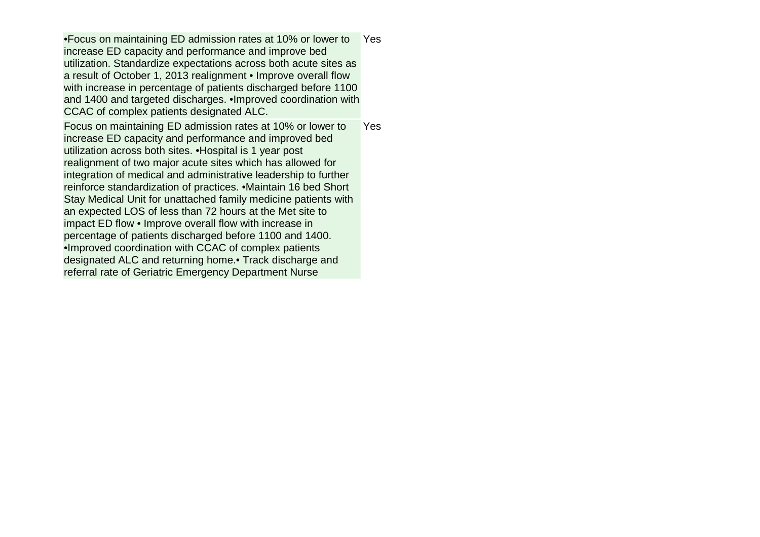•Focus on maintaining ED admission rates at 10% or lower to increase ED capacity and performance and improve bed utilization. Standardize expectations across both acute sites as a result of October 1, 2013 realignment • Improve overall flow with increase in percentage of patients discharged before 1100 and 1400 and targeted discharges. •Improved coordination with CCAC of complex patients designated ALC. **Yes** Focus on maintaining ED admission rates at 10% or lower to increase ED capacity and performance and improved bed utilization across both sites. •Hospital is 1 year post realignment of two major acute sites which has allowed for integration of medical and administrative leadership to further reinforce standardization of practices. •Maintain 16 bed Short Stay Medical Unit for unattached family medicine patients with an expected LOS of less than 72 hours at the Met site to impact ED flow • Improve overall flow with increase in percentage of patients discharged before 1100 and 1400. •Improved coordination with CCAC of complex patients designated ALC and returning home.• Track discharge and referral rate of Geriatric Emergency Department Nurse Yes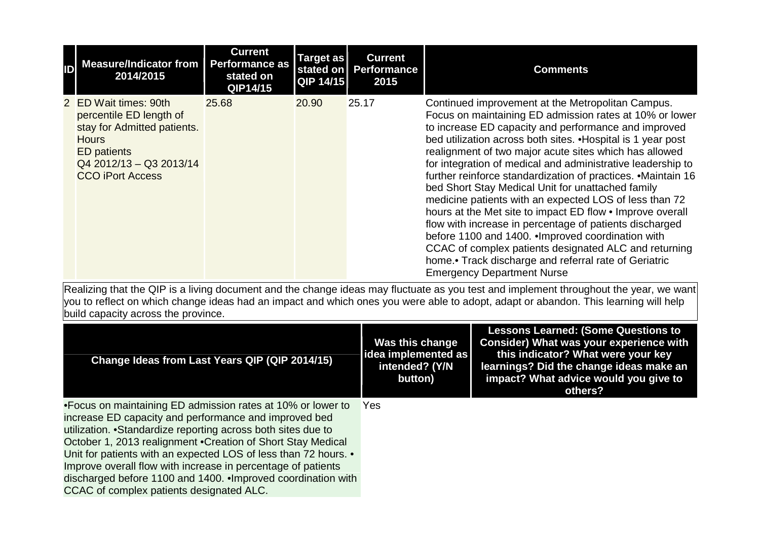| ID | <b>Measure/Indicator from</b><br>2014/2015                                                                                                                                  | <b>Current</b><br>Performance as<br>stated on<br>QIP14/15 | Target as<br>QIP 14/15 | <b>Current</b><br>stated on   Performance<br>2015 | <b>Comments</b>                                                                                                                                                                                                                                                                                                                                                                                                                                                                                                                                                                                                                                                                                                                                                                                                                                                                  |
|----|-----------------------------------------------------------------------------------------------------------------------------------------------------------------------------|-----------------------------------------------------------|------------------------|---------------------------------------------------|----------------------------------------------------------------------------------------------------------------------------------------------------------------------------------------------------------------------------------------------------------------------------------------------------------------------------------------------------------------------------------------------------------------------------------------------------------------------------------------------------------------------------------------------------------------------------------------------------------------------------------------------------------------------------------------------------------------------------------------------------------------------------------------------------------------------------------------------------------------------------------|
|    | 2 ED Wait times: 90th<br>percentile ED length of<br>stay for Admitted patients.<br><b>Hours</b><br><b>ED</b> patients<br>$Q42012/13 - Q32013/14$<br><b>CCO iPort Access</b> | 25.68                                                     | 20.90                  | 25.17                                             | Continued improvement at the Metropolitan Campus.<br>Focus on maintaining ED admission rates at 10% or lower<br>to increase ED capacity and performance and improved<br>bed utilization across both sites. . Hospital is 1 year post<br>realignment of two major acute sites which has allowed<br>for integration of medical and administrative leadership to<br>further reinforce standardization of practices. . Maintain 16<br>bed Short Stay Medical Unit for unattached family<br>medicine patients with an expected LOS of less than 72<br>hours at the Met site to impact ED flow • Improve overall<br>flow with increase in percentage of patients discharged<br>before 1100 and 1400. Improved coordination with<br>CCAC of complex patients designated ALC and returning<br>home.• Track discharge and referral rate of Geriatric<br><b>Emergency Department Nurse</b> |

| Change Ideas from Last Years QIP (QIP 2014/15)                                                                                                                                                                                                                                                                                                                                                                                                                                                      | Was this change<br>idea implemented as<br>intended? (Y/N<br>button) | <b>Lessons Learned: (Some Questions to</b><br>Consider) What was your experience with<br>this indicator? What were your key<br>learnings? Did the change ideas make an<br>impact? What advice would you give to<br>others? |
|-----------------------------------------------------------------------------------------------------------------------------------------------------------------------------------------------------------------------------------------------------------------------------------------------------------------------------------------------------------------------------------------------------------------------------------------------------------------------------------------------------|---------------------------------------------------------------------|----------------------------------------------------------------------------------------------------------------------------------------------------------------------------------------------------------------------------|
| •Focus on maintaining ED admission rates at 10% or lower to<br>increase ED capacity and performance and improved bed<br>utilization. • Standardize reporting across both sites due to<br>October 1, 2013 realignment . Creation of Short Stay Medical<br>Unit for patients with an expected LOS of less than 72 hours. •<br>Improve overall flow with increase in percentage of patients<br>discharged before 1100 and 1400. Improved coordination with<br>CCAC of complex patients designated ALC. | Yes                                                                 |                                                                                                                                                                                                                            |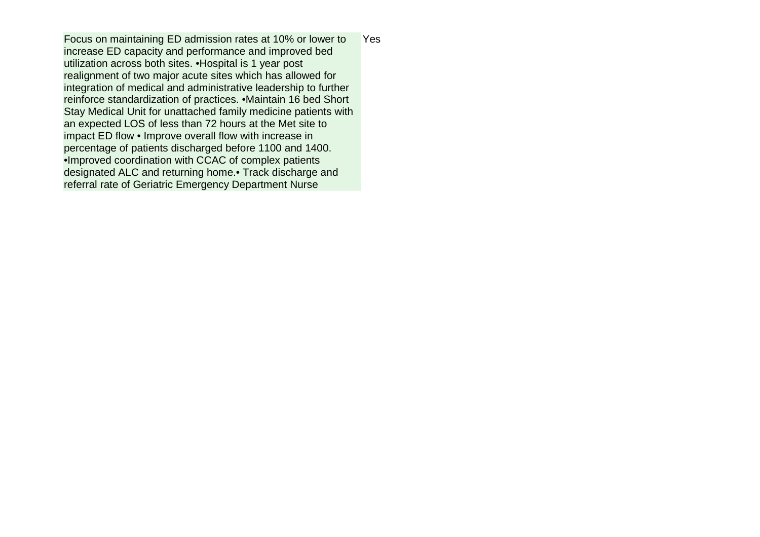Focus on maintaining ED admission rates at 10% or lower to increase ED capacity and performance and improved bed utilization across both sites. •Hospital is 1 year post realignment of two major acute sites which has allowed for integration of medical and administrative leadership to further reinforce standardization of practices. •Maintain 16 bed Short Stay Medical Unit for unattached family medicine patients with an expected LOS of less than 72 hours at the Met site to impact ED flow • Improve overall flow with increase in percentage of patients discharged before 1100 and 1400. •Improved coordination with CCAC of complex patients designated ALC and returning home.• Track discharge and referral rate of Geriatric Emergency Department Nurse Yes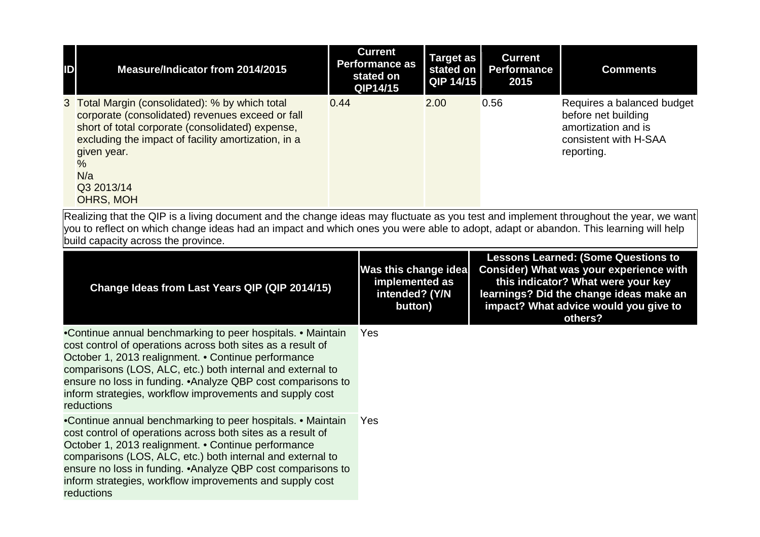| $\mathbb{D}$ | Measure/Indicator from 2014/2015                                                                                                                                                                                                                                                 | <b>Current</b><br><b>Performance as</b><br>stated on<br>QIP14/15 | Target as<br>stated on<br>$QIP$ 14/15 | <b>Current</b><br><b>Performance</b><br>2015 | <b>Comments</b>                                                                                                 |
|--------------|----------------------------------------------------------------------------------------------------------------------------------------------------------------------------------------------------------------------------------------------------------------------------------|------------------------------------------------------------------|---------------------------------------|----------------------------------------------|-----------------------------------------------------------------------------------------------------------------|
|              | 3 Total Margin (consolidated): % by which total<br>corporate (consolidated) revenues exceed or fall<br>short of total corporate (consolidated) expense,<br>excluding the impact of facility amortization, in a<br>given year.<br>$\frac{0}{6}$<br>N/a<br>Q3 2013/14<br>OHRS, MOH | 0.44                                                             | 2.00                                  | 0.56                                         | Requires a balanced budget<br>before net building<br>amortization and is<br>consistent with H-SAA<br>reporting. |

| Change Ideas from Last Years QIP (QIP 2014/15)                                                                                                                                                                                                                                                                                                                                                   | Was this change idea<br>implemented as<br>intended? (Y/N<br>button) | <b>Lessons Learned: (Some Questions to</b><br>Consider) What was your experience with<br>this indicator? What were your key<br>learnings? Did the change ideas make an<br>impact? What advice would you give to<br>others? |
|--------------------------------------------------------------------------------------------------------------------------------------------------------------------------------------------------------------------------------------------------------------------------------------------------------------------------------------------------------------------------------------------------|---------------------------------------------------------------------|----------------------------------------------------------------------------------------------------------------------------------------------------------------------------------------------------------------------------|
| •Continue annual benchmarking to peer hospitals. • Maintain<br>cost control of operations across both sites as a result of<br>October 1, 2013 realignment. • Continue performance<br>comparisons (LOS, ALC, etc.) both internal and external to<br>ensure no loss in funding. • Analyze QBP cost comparisons to<br>inform strategies, workflow improvements and supply cost<br>reductions        | <b>Yes</b>                                                          |                                                                                                                                                                                                                            |
| •Continue annual benchmarking to peer hospitals. • Maintain<br>cost control of operations across both sites as a result of<br>October 1, 2013 realignment. • Continue performance<br>comparisons (LOS, ALC, etc.) both internal and external to<br>ensure no loss in funding. • Analyze QBP cost comparisons to<br>inform strategies, workflow improvements and supply cost<br><b>reductions</b> | Yes                                                                 |                                                                                                                                                                                                                            |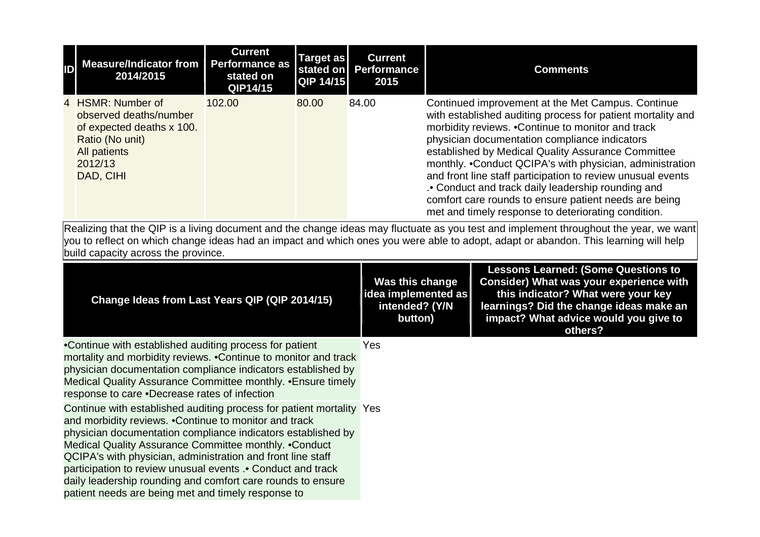| <b>ID</b> Measure/Indicator from<br>2014/2015                                                                                              | <b>Current</b><br><b>Performance as</b><br>stated on<br>QIP14/15 | Target as<br>$QIP$ 14/15 | <b>Current</b><br>stated on Performance<br>2015 | <b>Comments</b>                                                                                                                                                                                                                                                                                                                                                                                                                                                                                                                                                               |
|--------------------------------------------------------------------------------------------------------------------------------------------|------------------------------------------------------------------|--------------------------|-------------------------------------------------|-------------------------------------------------------------------------------------------------------------------------------------------------------------------------------------------------------------------------------------------------------------------------------------------------------------------------------------------------------------------------------------------------------------------------------------------------------------------------------------------------------------------------------------------------------------------------------|
| 4 HSMR: Number of<br>observed deaths/number<br>of expected deaths x 100.<br>Ratio (No unit)<br><b>All patients</b><br>2012/13<br>DAD, CIHI | 102.00                                                           | 80.00                    | 84.00                                           | Continued improvement at the Met Campus. Continue<br>with established auditing process for patient mortality and<br>morbidity reviews. . Continue to monitor and track<br>physician documentation compliance indicators<br>established by Medical Quality Assurance Committee<br>monthly. .Conduct QCIPA's with physician, administration<br>and front line staff participation to review unusual events<br>. Conduct and track daily leadership rounding and<br>comfort care rounds to ensure patient needs are being<br>met and timely response to deteriorating condition. |

| Change Ideas from Last Years QIP (QIP 2014/15)                                                                                                                                                                                                                                                                                                                                                                                                                                                              | Was this change<br>idea implemented as<br>intended? (Y/N<br>button) | <b>Lessons Learned: (Some Questions to</b><br><b>Consider) What was your experience with</b><br>this indicator? What were your key<br>learnings? Did the change ideas make an<br>impact? What advice would you give to<br>others? |
|-------------------------------------------------------------------------------------------------------------------------------------------------------------------------------------------------------------------------------------------------------------------------------------------------------------------------------------------------------------------------------------------------------------------------------------------------------------------------------------------------------------|---------------------------------------------------------------------|-----------------------------------------------------------------------------------------------------------------------------------------------------------------------------------------------------------------------------------|
| •Continue with established auditing process for patient<br>mortality and morbidity reviews. • Continue to monitor and track<br>physician documentation compliance indicators established by<br>Medical Quality Assurance Committee monthly. • Ensure timely<br>response to care .Decrease rates of infection                                                                                                                                                                                                | <b>Yes</b>                                                          |                                                                                                                                                                                                                                   |
| Continue with established auditing process for patient mortality Yes<br>and morbidity reviews. . Continue to monitor and track<br>physician documentation compliance indicators established by<br>Medical Quality Assurance Committee monthly. . Conduct<br>QCIPA's with physician, administration and front line staff<br>participation to review unusual events .• Conduct and track<br>daily leadership rounding and comfort care rounds to ensure<br>patient needs are being met and timely response to |                                                                     |                                                                                                                                                                                                                                   |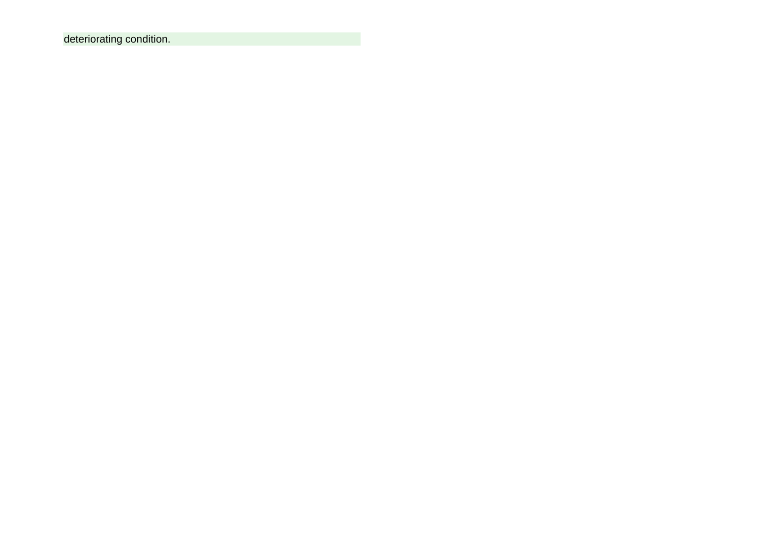deteriorating condition.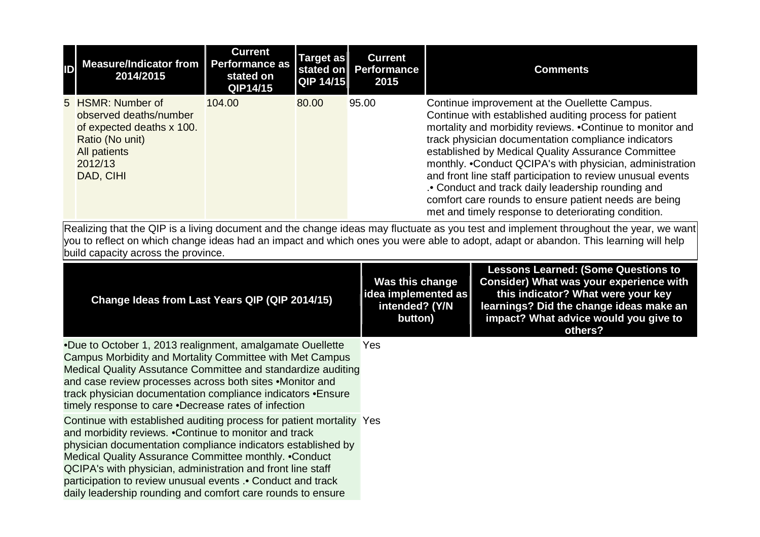| <b>ID</b> Measure/Indicator from<br>2014/2015                                                                                              | <b>Current</b><br><b>Performance as</b><br>stated on<br>QIP14/15 | Target as<br>QIP 14/15 | <b>Current</b><br>stated on Performance<br>2015 | <b>Comments</b>                                                                                                                                                                                                                                                                                                                                                                                                                                                                                                                                                                    |
|--------------------------------------------------------------------------------------------------------------------------------------------|------------------------------------------------------------------|------------------------|-------------------------------------------------|------------------------------------------------------------------------------------------------------------------------------------------------------------------------------------------------------------------------------------------------------------------------------------------------------------------------------------------------------------------------------------------------------------------------------------------------------------------------------------------------------------------------------------------------------------------------------------|
| 5 HSMR: Number of<br>observed deaths/number<br>of expected deaths x 100.<br>Ratio (No unit)<br><b>All patients</b><br>2012/13<br>DAD, CIHI | 104.00                                                           | 80.00                  | 95.00                                           | Continue improvement at the Ouellette Campus.<br>Continue with established auditing process for patient<br>mortality and morbidity reviews. . Continue to monitor and<br>track physician documentation compliance indicators<br>established by Medical Quality Assurance Committee<br>monthly. .Conduct QCIPA's with physician, administration<br>and front line staff participation to review unusual events<br>. Conduct and track daily leadership rounding and<br>comfort care rounds to ensure patient needs are being<br>met and timely response to deteriorating condition. |

| Change Ideas from Last Years QIP (QIP 2014/15)                                                                                                                                                                                                                                                                                                                                                                                                        | Was this change<br>idea implemented as<br>intended? (Y/N<br>button) | <b>Lessons Learned: (Some Questions to</b><br><b>Consider) What was your experience with</b><br>this indicator? What were your key<br>learnings? Did the change ideas make an<br>impact? What advice would you give to<br>others? |
|-------------------------------------------------------------------------------------------------------------------------------------------------------------------------------------------------------------------------------------------------------------------------------------------------------------------------------------------------------------------------------------------------------------------------------------------------------|---------------------------------------------------------------------|-----------------------------------------------------------------------------------------------------------------------------------------------------------------------------------------------------------------------------------|
| .Due to October 1, 2013 realignment, amalgamate Ouellette<br>Campus Morbidity and Mortality Committee with Met Campus<br>Medical Quality Assutance Committee and standardize auditing<br>and case review processes across both sites .Monitor and<br>track physician documentation compliance indicators • Ensure<br>timely response to care .Decrease rates of infection                                                                             | <b>Yes</b>                                                          |                                                                                                                                                                                                                                   |
| Continue with established auditing process for patient mortality Yes<br>and morbidity reviews. . Continue to monitor and track<br>physician documentation compliance indicators established by<br>Medical Quality Assurance Committee monthly. . Conduct<br>QCIPA's with physician, administration and front line staff<br>participation to review unusual events .• Conduct and track<br>daily leadership rounding and comfort care rounds to ensure |                                                                     |                                                                                                                                                                                                                                   |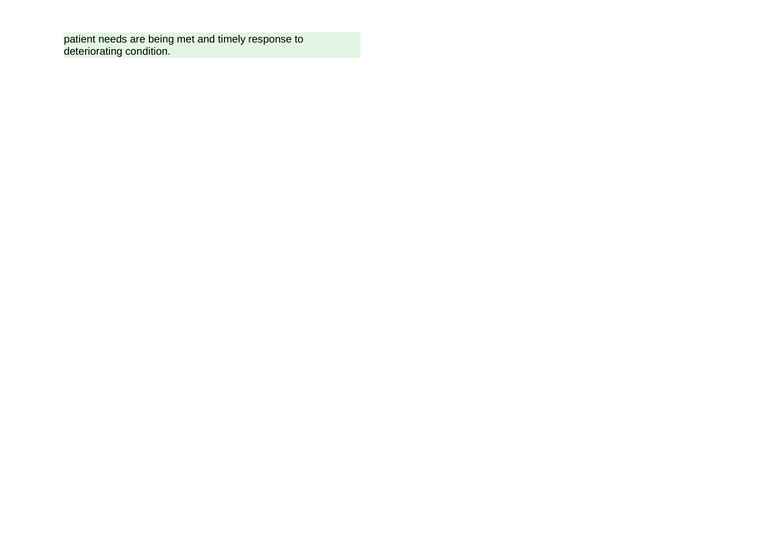patient needs are being met and timely response to deteriorating condition.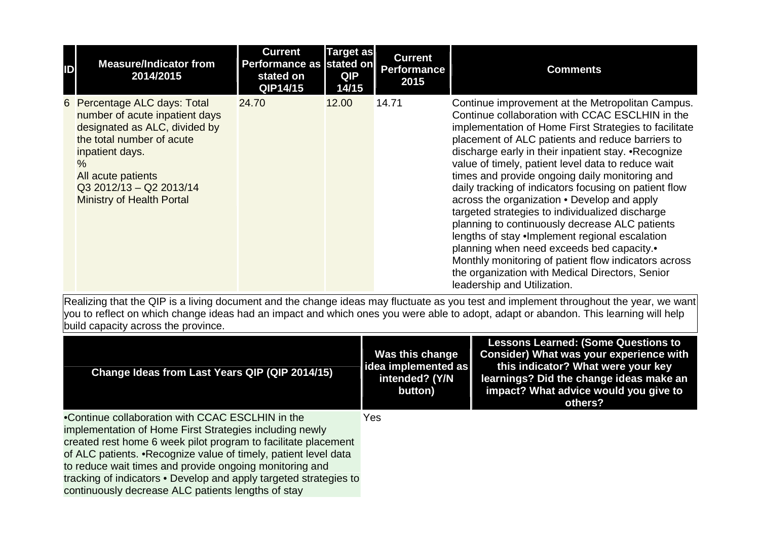| ID | <b>Measure/Indicator from</b><br>2014/2015                                                                                                                                                                                                  | <b>Current</b><br>Performance as stated on<br>stated on<br>QIP14/15 | <b>Target as</b><br><b>QIP</b><br>14/15 | <b>Current</b><br><b>Performance</b><br>2015 | <b>Comments</b>                                                                                                                                                                                                                                                                                                                                                                                                                                                                                                                                                                                                                                                                                                                                                                                                                         |
|----|---------------------------------------------------------------------------------------------------------------------------------------------------------------------------------------------------------------------------------------------|---------------------------------------------------------------------|-----------------------------------------|----------------------------------------------|-----------------------------------------------------------------------------------------------------------------------------------------------------------------------------------------------------------------------------------------------------------------------------------------------------------------------------------------------------------------------------------------------------------------------------------------------------------------------------------------------------------------------------------------------------------------------------------------------------------------------------------------------------------------------------------------------------------------------------------------------------------------------------------------------------------------------------------------|
|    | 6 Percentage ALC days: Total<br>number of acute inpatient days<br>designated as ALC, divided by<br>the total number of acute<br>inpatient days.<br>%<br>All acute patients<br>$Q3$ 2012/13 - Q2 2013/14<br><b>Ministry of Health Portal</b> | 24.70                                                               | 12.00                                   | 14.71                                        | Continue improvement at the Metropolitan Campus.<br>Continue collaboration with CCAC ESCLHIN in the<br>implementation of Home First Strategies to facilitate<br>placement of ALC patients and reduce barriers to<br>discharge early in their inpatient stay. • Recognize<br>value of timely, patient level data to reduce wait<br>times and provide ongoing daily monitoring and<br>daily tracking of indicators focusing on patient flow<br>across the organization . Develop and apply<br>targeted strategies to individualized discharge<br>planning to continuously decrease ALC patients<br>lengths of stay . Implement regional escalation<br>planning when need exceeds bed capacity.•<br>Monthly monitoring of patient flow indicators across<br>the organization with Medical Directors, Senior<br>leadership and Utilization. |

| Change Ideas from Last Years QIP (QIP 2014/15)                                                                                                                                                                                                                                                                                                                                                                                          | Was this change<br> idea implemented as  <br>intended? (Y/N<br>button) | <b>Lessons Learned: (Some Questions to</b><br>Consider) What was your experience with<br>this indicator? What were your key<br>learnings? Did the change ideas make an<br>impact? What advice would you give to<br>others? |
|-----------------------------------------------------------------------------------------------------------------------------------------------------------------------------------------------------------------------------------------------------------------------------------------------------------------------------------------------------------------------------------------------------------------------------------------|------------------------------------------------------------------------|----------------------------------------------------------------------------------------------------------------------------------------------------------------------------------------------------------------------------|
| •Continue collaboration with CCAC ESCLHIN in the<br>implementation of Home First Strategies including newly<br>created rest home 6 week pilot program to facilitate placement<br>of ALC patients. . Recognize value of timely, patient level data<br>to reduce wait times and provide ongoing monitoring and<br>tracking of indicators • Develop and apply targeted strategies to<br>continuously decrease ALC patients lengths of stay | Yes                                                                    |                                                                                                                                                                                                                            |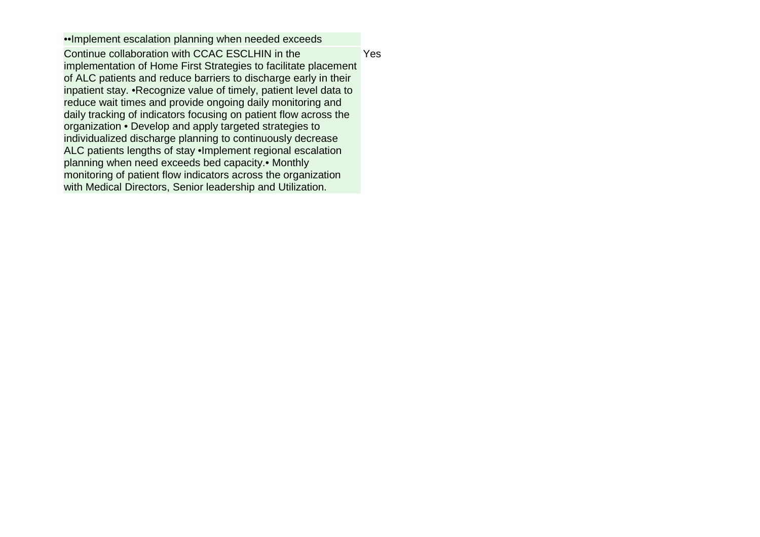••Implement escalation planning when needed exceeds Continue collaboration with CCAC ESCLHIN in the implementation of Home First Strategies to facilitate placement of ALC patients and reduce barriers to discharge early in their inpatient stay. •Recognize value of timely, patient level data to reduce wait times and provide ongoing daily monitoring and daily tracking of indicators focusing on patient flow across the organization • Develop and apply targeted strategies to individualized discharge planning to continuously decrease ALC patients lengths of stay •Implement regional escalation planning when need exceeds bed capacity.• Monthly monitoring of patient flow indicators across the organization with Medical Directors, Senior leadership and Utilization. Yes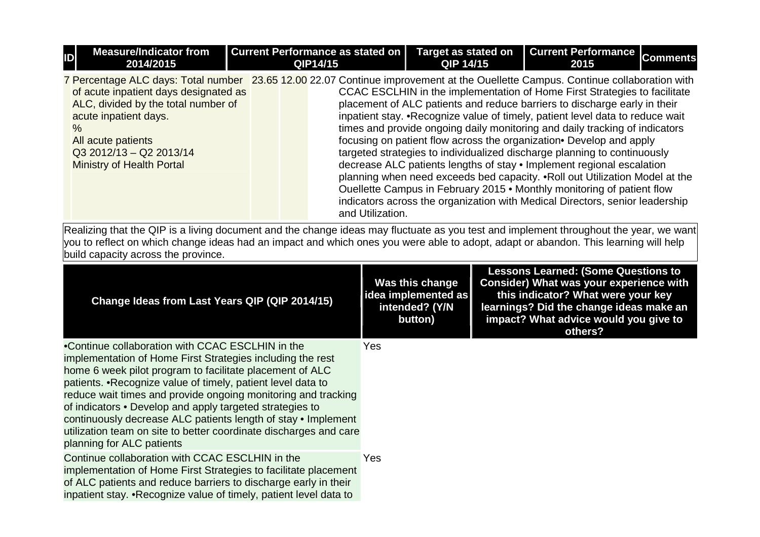| <b>ID</b> | <b>Measure/Indicator from</b><br>2014/2015                                                                                                                                                                                                                                                                                      |  | Current Performance as stated on  <br>QIP14/15 | <b>Target as stated on</b><br>QIP 14/15                                                                                                                                                                                                                                                                                                                                                                                                                                                                                                                                                                                                                                                                                                                                                       | <b>Current Performance</b><br>2015 | <b>Comments</b> |
|-----------|---------------------------------------------------------------------------------------------------------------------------------------------------------------------------------------------------------------------------------------------------------------------------------------------------------------------------------|--|------------------------------------------------|-----------------------------------------------------------------------------------------------------------------------------------------------------------------------------------------------------------------------------------------------------------------------------------------------------------------------------------------------------------------------------------------------------------------------------------------------------------------------------------------------------------------------------------------------------------------------------------------------------------------------------------------------------------------------------------------------------------------------------------------------------------------------------------------------|------------------------------------|-----------------|
| $\%$      | 7 Percentage ALC days: Total number 23.65 12.00 22.07 Continue improvement at the Ouellette Campus. Continue collaboration with<br>of acute inpatient days designated as<br>ALC, divided by the total number of<br>acute inpatient days.<br>All acute patients<br>$Q3 2012/13 - Q2 2013/14$<br><b>Ministry of Health Portal</b> |  | and Utilization.                               | CCAC ESCLHIN in the implementation of Home First Strategies to facilitate<br>placement of ALC patients and reduce barriers to discharge early in their<br>inpatient stay. • Recognize value of timely, patient level data to reduce wait<br>times and provide ongoing daily monitoring and daily tracking of indicators<br>focusing on patient flow across the organization• Develop and apply<br>targeted strategies to individualized discharge planning to continuously<br>decrease ALC patients lengths of stay . Implement regional escalation<br>planning when need exceeds bed capacity. . Roll out Utilization Model at the<br>Ouellette Campus in February 2015 . Monthly monitoring of patient flow<br>indicators across the organization with Medical Directors, senior leadership |                                    |                 |

| Change Ideas from Last Years QIP (QIP 2014/15)                                                                                                                                                                                                                                                                                                                                                                                                                                                                                             | Was this change<br>idea implemented as<br>intended? (Y/N<br>button) | <b>Lessons Learned: (Some Questions to</b><br><b>Consider) What was your experience with</b><br>this indicator? What were your key<br>learnings? Did the change ideas make an<br>impact? What advice would you give to<br>others? |
|--------------------------------------------------------------------------------------------------------------------------------------------------------------------------------------------------------------------------------------------------------------------------------------------------------------------------------------------------------------------------------------------------------------------------------------------------------------------------------------------------------------------------------------------|---------------------------------------------------------------------|-----------------------------------------------------------------------------------------------------------------------------------------------------------------------------------------------------------------------------------|
| •Continue collaboration with CCAC ESCLHIN in the<br>implementation of Home First Strategies including the rest<br>home 6 week pilot program to facilitate placement of ALC<br>patients. • Recognize value of timely, patient level data to<br>reduce wait times and provide ongoing monitoring and tracking<br>of indicators • Develop and apply targeted strategies to<br>continuously decrease ALC patients length of stay • Implement<br>utilization team on site to better coordinate discharges and care<br>planning for ALC patients | <b>Yes</b>                                                          |                                                                                                                                                                                                                                   |
| Continue collaboration with CCAC ESCLHIN in the<br>implementation of Home First Strategies to facilitate placement<br>of ALC patients and reduce barriers to discharge early in their<br>inpatient stay. . Recognize value of timely, patient level data to                                                                                                                                                                                                                                                                                | Yes                                                                 |                                                                                                                                                                                                                                   |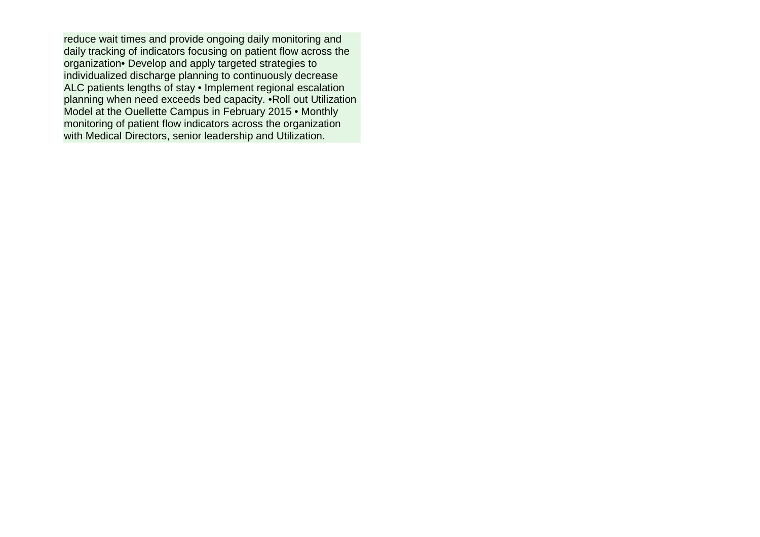reduce wait times and provide ongoing daily monitoring and daily tracking of indicators focusing on patient flow across the organization• Develop and apply targeted strategies to individualized discharge planning to continuously decrease ALC patients lengths of stay • Implement regional escalation planning when need exceeds bed capacity. •Roll out Utilization Model at the Ouellette Campus in February 2015 • Monthly monitoring of patient flow indicators across the organization with Medical Directors, senior leadership and Utilization.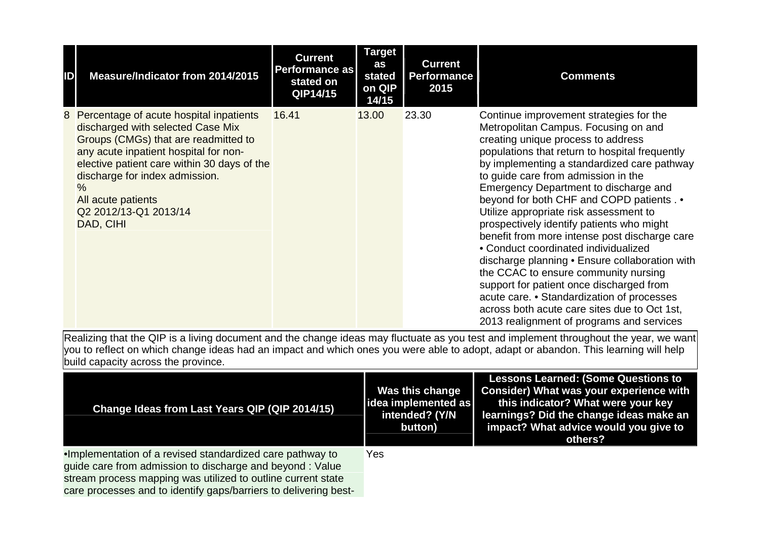| ID | Measure/Indicator from 2014/2015                                                                                                                                                                                                                                                                                     | <b>Current</b><br>Performance as<br>stated on<br>QIP14/15 | <b>Target</b><br>as<br>stated<br>on QIP<br>14/15 | <b>Current</b><br><b>Performance</b><br>2015 | <b>Comments</b>                                                                                                                                                                                                                                                                                                                                                                                                                                                                                                                                                                                                                                                                                                                                                                                                      |
|----|----------------------------------------------------------------------------------------------------------------------------------------------------------------------------------------------------------------------------------------------------------------------------------------------------------------------|-----------------------------------------------------------|--------------------------------------------------|----------------------------------------------|----------------------------------------------------------------------------------------------------------------------------------------------------------------------------------------------------------------------------------------------------------------------------------------------------------------------------------------------------------------------------------------------------------------------------------------------------------------------------------------------------------------------------------------------------------------------------------------------------------------------------------------------------------------------------------------------------------------------------------------------------------------------------------------------------------------------|
|    | 8 Percentage of acute hospital inpatients<br>discharged with selected Case Mix<br>Groups (CMGs) that are readmitted to<br>any acute inpatient hospital for non-<br>elective patient care within 30 days of the<br>discharge for index admission.<br>$\%$<br>All acute patients<br>Q2 2012/13-Q1 2013/14<br>DAD, CIHI | 16.41                                                     | 13.00                                            | 23.30                                        | Continue improvement strategies for the<br>Metropolitan Campus. Focusing on and<br>creating unique process to address<br>populations that return to hospital frequently<br>by implementing a standardized care pathway<br>to guide care from admission in the<br>Emergency Department to discharge and<br>beyond for both CHF and COPD patients . •<br>Utilize appropriate risk assessment to<br>prospectively identify patients who might<br>benefit from more intense post discharge care<br>• Conduct coordinated individualized<br>discharge planning • Ensure collaboration with<br>the CCAC to ensure community nursing<br>support for patient once discharged from<br>acute care. • Standardization of processes<br>across both acute care sites due to Oct 1st,<br>2013 realignment of programs and services |

| Change Ideas from Last Years QIP (QIP 2014/15)                                                                                                                                                                                                             | Was this change<br>idea implemented as<br>intended? (Y/N<br>button) | <b>Lessons Learned: (Some Questions to</b><br><b>Consider) What was your experience with</b><br>this indicator? What were your key<br>learnings? Did the change ideas make an<br>impact? What advice would you give to<br>others? |
|------------------------------------------------------------------------------------------------------------------------------------------------------------------------------------------------------------------------------------------------------------|---------------------------------------------------------------------|-----------------------------------------------------------------------------------------------------------------------------------------------------------------------------------------------------------------------------------|
| . Implementation of a revised standardized care pathway to<br>guide care from admission to discharge and beyond: Value<br>stream process mapping was utilized to outline current state<br>care processes and to identify gaps/barriers to delivering best- | Yes                                                                 |                                                                                                                                                                                                                                   |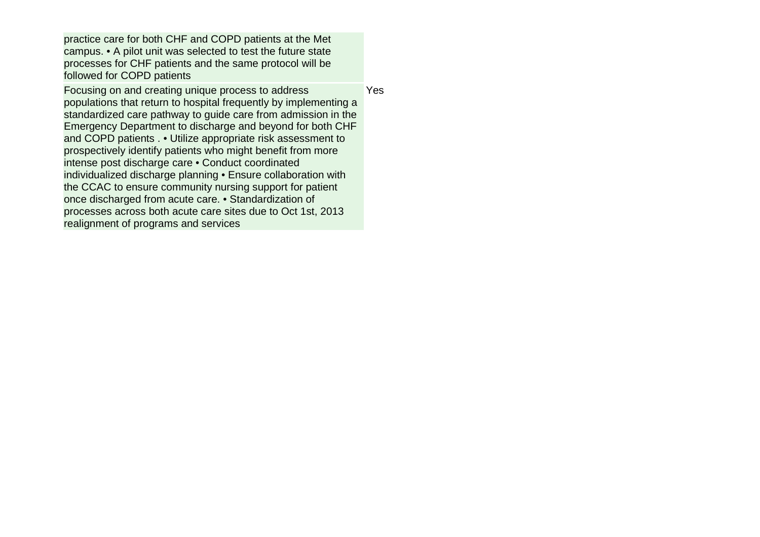practice care for both CHF and COPD patients at the Met campus. • A pilot unit was selected to test the future state processes for CHF patients and the same protocol will be followed for COPD patients

Focusing on and creating unique process to address populations that return to hospital frequently by implementing a standardized care pathway to guide care from admission in the Emergency Department to discharge and beyond for both CHF and COPD patients . • Utilize appropriate risk assessment to prospectively identify patients who might benefit from more intense post discharge care • Conduct coordinated individualized discharge planning • Ensure collaboration with the CCAC to ensure community nursing support for patient once discharged from acute care. • Standardization of processes across both acute care sites due to Oct 1st, 2013 realignment of programs and services

Yes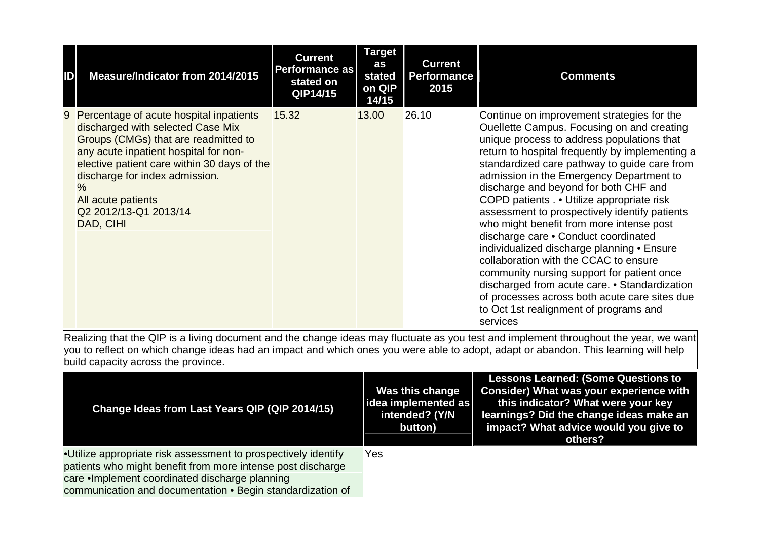| ID | Measure/Indicator from 2014/2015                                                                                                                                                                                                                                                                                     | <b>Current</b><br><b>Performance as</b><br>stated on<br>QIP14/15 | <b>Target</b><br>as<br>stated<br>on QIP<br>14/15 | <b>Current</b><br><b>Performance</b><br>2015 | <b>Comments</b>                                                                                                                                                                                                                                                                                                                                                                                                                                                                                                                                                                                                                                                                                                                                                                                            |
|----|----------------------------------------------------------------------------------------------------------------------------------------------------------------------------------------------------------------------------------------------------------------------------------------------------------------------|------------------------------------------------------------------|--------------------------------------------------|----------------------------------------------|------------------------------------------------------------------------------------------------------------------------------------------------------------------------------------------------------------------------------------------------------------------------------------------------------------------------------------------------------------------------------------------------------------------------------------------------------------------------------------------------------------------------------------------------------------------------------------------------------------------------------------------------------------------------------------------------------------------------------------------------------------------------------------------------------------|
|    | 9 Percentage of acute hospital inpatients<br>discharged with selected Case Mix<br>Groups (CMGs) that are readmitted to<br>any acute inpatient hospital for non-<br>elective patient care within 30 days of the<br>discharge for index admission.<br>$\%$<br>All acute patients<br>Q2 2012/13-Q1 2013/14<br>DAD, CIHI | 15.32                                                            | 13.00                                            | 26.10                                        | Continue on improvement strategies for the<br>Ouellette Campus. Focusing on and creating<br>unique process to address populations that<br>return to hospital frequently by implementing a<br>standardized care pathway to guide care from<br>admission in the Emergency Department to<br>discharge and beyond for both CHF and<br>COPD patients Utilize appropriate risk<br>assessment to prospectively identify patients<br>who might benefit from more intense post<br>discharge care . Conduct coordinated<br>individualized discharge planning • Ensure<br>collaboration with the CCAC to ensure<br>community nursing support for patient once<br>discharged from acute care. • Standardization<br>of processes across both acute care sites due<br>to Oct 1st realignment of programs and<br>services |

| Change Ideas from Last Years QIP (QIP 2014/15)                 | Was this change<br> idea implemented as <br>intended? (Y/N<br>button) | <b>Lessons Learned: (Some Questions to</b><br><b>Consider) What was your experience with</b><br>this indicator? What were your key<br>learnings? Did the change ideas make an<br>impact? What advice would you give to<br>others? |
|----------------------------------------------------------------|-----------------------------------------------------------------------|-----------------------------------------------------------------------------------------------------------------------------------------------------------------------------------------------------------------------------------|
| •Utilize appropriate risk assessment to prospectively identify | Yes                                                                   |                                                                                                                                                                                                                                   |
| patients who might benefit from more intense post discharge    |                                                                       |                                                                                                                                                                                                                                   |
| care . Implement coordinated discharge planning                |                                                                       |                                                                                                                                                                                                                                   |
| communication and documentation • Begin standardization of     |                                                                       |                                                                                                                                                                                                                                   |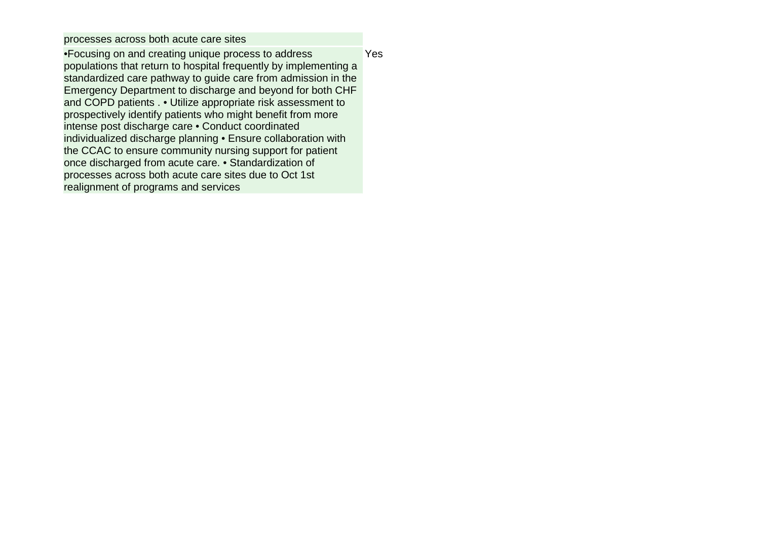processes across both acute care sites

•Focusing on and creating unique process to address populations that return to hospital frequently by implementing a standardized care pathway to guide care from admission in the Emergency Department to discharge and beyond for both CHF and COPD patients . • Utilize appropriate risk assessment to prospectively identify patients who might benefit from more intense post discharge care • Conduct coordinated individualized discharge planning • Ensure collaboration with the CCAC to ensure community nursing support for patient once discharged from acute care. • Standardization of processes across both acute care sites due to Oct 1st realignment of programs and services **Yes**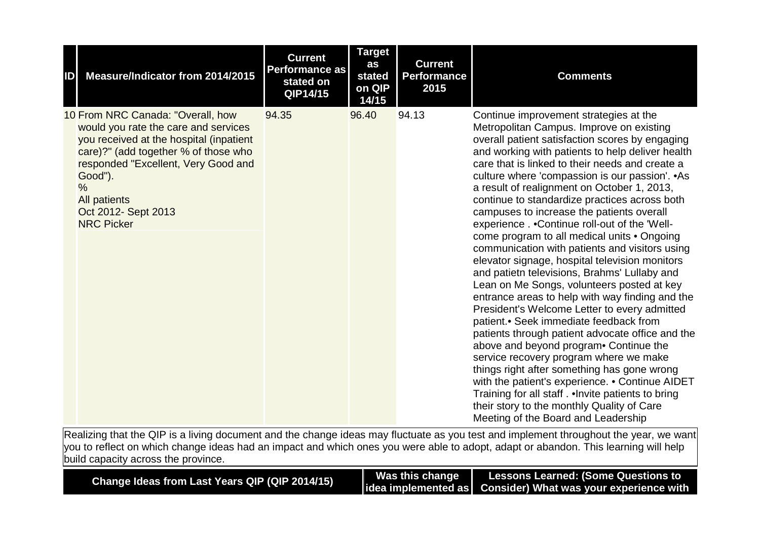| ID | Measure/Indicator from 2014/2015                                                                                                                                                                                                                                                          | <b>Current</b><br><b>Performance as</b><br>stated on<br>QIP14/15 | <b>Target</b><br>as<br>stated<br>on QIP<br>14/15 | <b>Current</b><br><b>Performance</b><br>2015 | <b>Comments</b>                                                                                                                                                                                                                                                                                                                                                                                                                                                                                                                                                                                                                                                                                                                                                                                                                                                                                                                                                                                                                                                                                                                                                                                                                                                              |
|----|-------------------------------------------------------------------------------------------------------------------------------------------------------------------------------------------------------------------------------------------------------------------------------------------|------------------------------------------------------------------|--------------------------------------------------|----------------------------------------------|------------------------------------------------------------------------------------------------------------------------------------------------------------------------------------------------------------------------------------------------------------------------------------------------------------------------------------------------------------------------------------------------------------------------------------------------------------------------------------------------------------------------------------------------------------------------------------------------------------------------------------------------------------------------------------------------------------------------------------------------------------------------------------------------------------------------------------------------------------------------------------------------------------------------------------------------------------------------------------------------------------------------------------------------------------------------------------------------------------------------------------------------------------------------------------------------------------------------------------------------------------------------------|
|    | 10 From NRC Canada: "Overall, how<br>would you rate the care and services<br>you received at the hospital (inpatient<br>care)?" (add together % of those who<br>responded "Excellent, Very Good and<br>Good").<br>$\%$<br><b>All patients</b><br>Oct 2012- Sept 2013<br><b>NRC Picker</b> | 94.35                                                            | 96.40                                            | 94.13                                        | Continue improvement strategies at the<br>Metropolitan Campus. Improve on existing<br>overall patient satisfaction scores by engaging<br>and working with patients to help deliver health<br>care that is linked to their needs and create a<br>culture where 'compassion is our passion'. • As<br>a result of realignment on October 1, 2013,<br>continue to standardize practices across both<br>campuses to increase the patients overall<br>experience Continue roll-out of the 'Well-<br>come program to all medical units . Ongoing<br>communication with patients and visitors using<br>elevator signage, hospital television monitors<br>and patietn televisions, Brahms' Lullaby and<br>Lean on Me Songs, volunteers posted at key<br>entrance areas to help with way finding and the<br>President's Welcome Letter to every admitted<br>patient.• Seek immediate feedback from<br>patients through patient advocate office and the<br>above and beyond program Continue the<br>service recovery program where we make<br>things right after something has gone wrong<br>with the patient's experience. • Continue AIDET<br>Training for all staff. . Invite patients to bring<br>their story to the monthly Quality of Care<br>Meeting of the Board and Leadership |

| Change Ideas from Last Years QIP (QIP 2014/15) |  |
|------------------------------------------------|--|
|------------------------------------------------|--|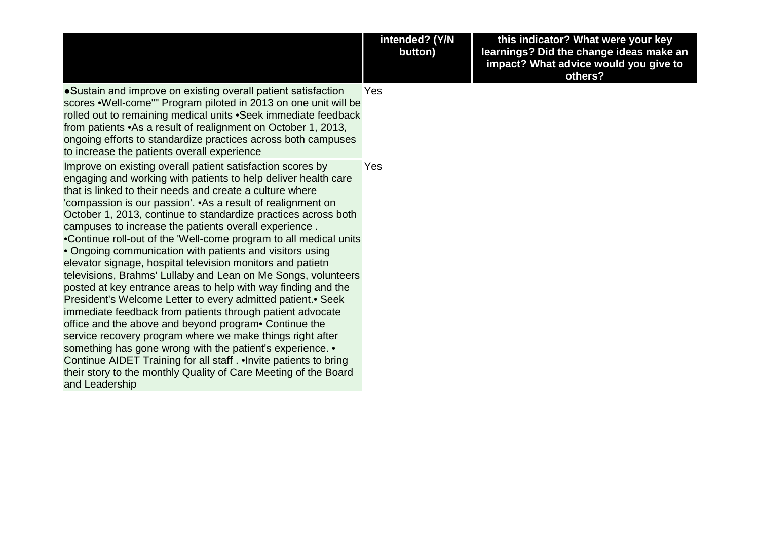|                                                                                                                                                                                                                                                                                                                                                                                                                                                                                                                                                                                                                                                                                                                                                                                                                                                                                                                                                                                                                                                                                                                                                                                               | intended? (Y/N<br>button) | this indicator? What were your key<br>learnings? Did the change ideas make an<br>impact? What advice would you give to<br>others? |
|-----------------------------------------------------------------------------------------------------------------------------------------------------------------------------------------------------------------------------------------------------------------------------------------------------------------------------------------------------------------------------------------------------------------------------------------------------------------------------------------------------------------------------------------------------------------------------------------------------------------------------------------------------------------------------------------------------------------------------------------------------------------------------------------------------------------------------------------------------------------------------------------------------------------------------------------------------------------------------------------------------------------------------------------------------------------------------------------------------------------------------------------------------------------------------------------------|---------------------------|-----------------------------------------------------------------------------------------------------------------------------------|
| •Sustain and improve on existing overall patient satisfaction<br>scores .Well-come"" Program piloted in 2013 on one unit will be<br>rolled out to remaining medical units . Seek immediate feedback<br>from patients • As a result of realignment on October 1, 2013,<br>ongoing efforts to standardize practices across both campuses<br>to increase the patients overall experience                                                                                                                                                                                                                                                                                                                                                                                                                                                                                                                                                                                                                                                                                                                                                                                                         | Yes                       |                                                                                                                                   |
| Improve on existing overall patient satisfaction scores by<br>engaging and working with patients to help deliver health care<br>that is linked to their needs and create a culture where<br>'compassion is our passion'. • As a result of realignment on<br>October 1, 2013, continue to standardize practices across both<br>campuses to increase the patients overall experience.<br>•Continue roll-out of the 'Well-come program to all medical units<br>• Ongoing communication with patients and visitors using<br>elevator signage, hospital television monitors and patietn<br>televisions, Brahms' Lullaby and Lean on Me Songs, volunteers<br>posted at key entrance areas to help with way finding and the<br>President's Welcome Letter to every admitted patient. • Seek<br>immediate feedback from patients through patient advocate<br>office and the above and beyond program Continue the<br>service recovery program where we make things right after<br>something has gone wrong with the patient's experience. •<br>Continue AIDET Training for all staff. . Invite patients to bring<br>their story to the monthly Quality of Care Meeting of the Board<br>and Leadership | Yes                       |                                                                                                                                   |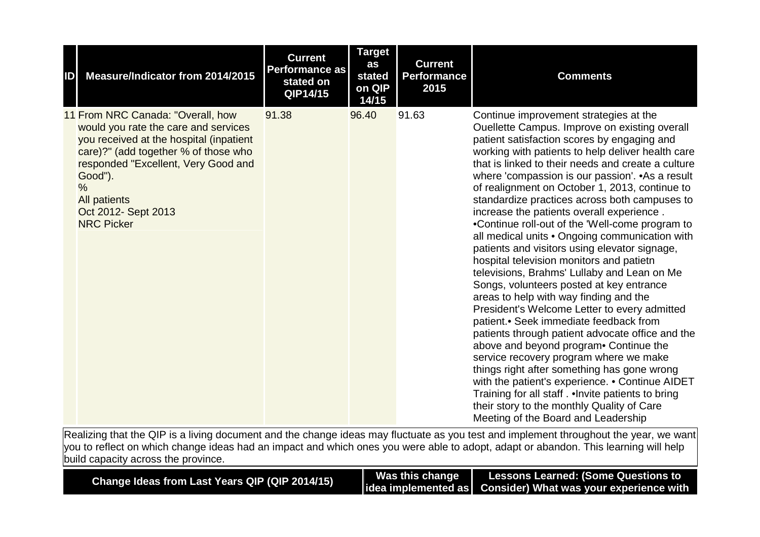| ID | Measure/Indicator from 2014/2015                                                                                                                                                                                                                                                                   | <b>Current</b><br><b>Performance as</b><br>stated on<br>QIP14/15 | <b>Target</b><br>as<br>stated<br>on QIP<br>14/15 | <b>Current</b><br><b>Performance</b><br>2015 | <b>Comments</b>                                                                                                                                                                                                                                                                                                                                                                                                                                                                                                                                                                                                                                                                                                                                                                                                                                                                                                                                                                                                                                                                                                                                                                                                                                                            |
|----|----------------------------------------------------------------------------------------------------------------------------------------------------------------------------------------------------------------------------------------------------------------------------------------------------|------------------------------------------------------------------|--------------------------------------------------|----------------------------------------------|----------------------------------------------------------------------------------------------------------------------------------------------------------------------------------------------------------------------------------------------------------------------------------------------------------------------------------------------------------------------------------------------------------------------------------------------------------------------------------------------------------------------------------------------------------------------------------------------------------------------------------------------------------------------------------------------------------------------------------------------------------------------------------------------------------------------------------------------------------------------------------------------------------------------------------------------------------------------------------------------------------------------------------------------------------------------------------------------------------------------------------------------------------------------------------------------------------------------------------------------------------------------------|
|    | 11 From NRC Canada: "Overall, how<br>would you rate the care and services<br>you received at the hospital (inpatient<br>care)?" (add together % of those who<br>responded "Excellent, Very Good and<br>Good").<br>$\frac{0}{0}$<br><b>All patients</b><br>Oct 2012- Sept 2013<br><b>NRC Picker</b> | 91.38                                                            | 96.40                                            | 91.63                                        | Continue improvement strategies at the<br>Ouellette Campus. Improve on existing overall<br>patient satisfaction scores by engaging and<br>working with patients to help deliver health care<br>that is linked to their needs and create a culture<br>where 'compassion is our passion'. • As a result<br>of realignment on October 1, 2013, continue to<br>standardize practices across both campuses to<br>increase the patients overall experience.<br>•Continue roll-out of the 'Well-come program to<br>all medical units . Ongoing communication with<br>patients and visitors using elevator signage,<br>hospital television monitors and patietn<br>televisions, Brahms' Lullaby and Lean on Me<br>Songs, volunteers posted at key entrance<br>areas to help with way finding and the<br>President's Welcome Letter to every admitted<br>patient.• Seek immediate feedback from<br>patients through patient advocate office and the<br>above and beyond program Continue the<br>service recovery program where we make<br>things right after something has gone wrong<br>with the patient's experience. • Continue AIDET<br>Training for all staff. . Invite patients to bring<br>their story to the monthly Quality of Care<br>Meeting of the Board and Leadership |

| Change Ideas from Last Years QIP (QIP 2014/15) | Was this change | <b>Lessons Learned: (Some Questions to</b>                     |
|------------------------------------------------|-----------------|----------------------------------------------------------------|
|                                                |                 | lidea implemented as   Consider) What was your experience with |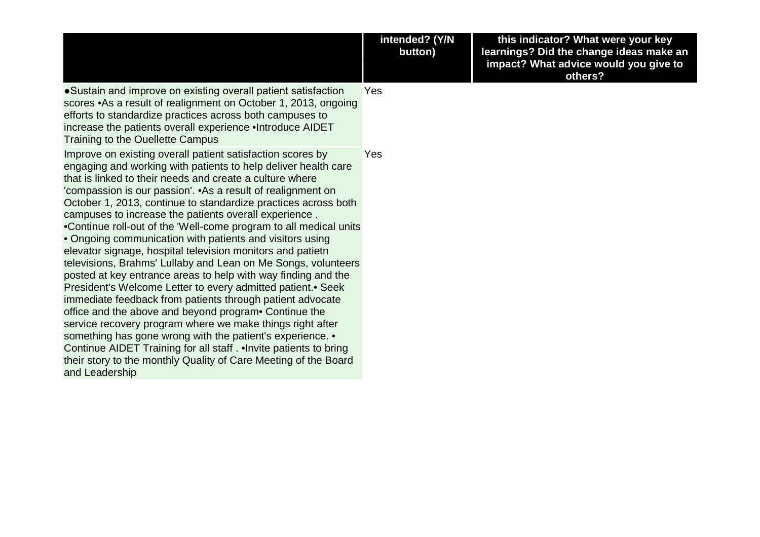|                                                                                                                                                                                                                                                                                                                                                                                                                                                                                                                                                                                                                                                                                                                                                                                                                                                                                                                                                                                                                                                                                                                                                                                             | intended? (Y/N<br>button) | this indicator? What were your key<br>learnings? Did the change ideas make an<br>impact? What advice would you give to<br>others? |
|---------------------------------------------------------------------------------------------------------------------------------------------------------------------------------------------------------------------------------------------------------------------------------------------------------------------------------------------------------------------------------------------------------------------------------------------------------------------------------------------------------------------------------------------------------------------------------------------------------------------------------------------------------------------------------------------------------------------------------------------------------------------------------------------------------------------------------------------------------------------------------------------------------------------------------------------------------------------------------------------------------------------------------------------------------------------------------------------------------------------------------------------------------------------------------------------|---------------------------|-----------------------------------------------------------------------------------------------------------------------------------|
| • Sustain and improve on existing overall patient satisfaction<br>scores .As a result of realignment on October 1, 2013, ongoing<br>efforts to standardize practices across both campuses to<br>increase the patients overall experience . Introduce AIDET<br>Training to the Ouellette Campus                                                                                                                                                                                                                                                                                                                                                                                                                                                                                                                                                                                                                                                                                                                                                                                                                                                                                              | Yes                       |                                                                                                                                   |
| Improve on existing overall patient satisfaction scores by<br>engaging and working with patients to help deliver health care<br>that is linked to their needs and create a culture where<br>'compassion is our passion'. • As a result of realignment on<br>October 1, 2013, continue to standardize practices across both<br>campuses to increase the patients overall experience.<br>•Continue roll-out of the 'Well-come program to all medical units<br>• Ongoing communication with patients and visitors using<br>elevator signage, hospital television monitors and patietn<br>televisions, Brahms' Lullaby and Lean on Me Songs, volunteers<br>posted at key entrance areas to help with way finding and the<br>President's Welcome Letter to every admitted patient. Seek<br>immediate feedback from patients through patient advocate<br>office and the above and beyond program Continue the<br>service recovery program where we make things right after<br>something has gone wrong with the patient's experience. •<br>Continue AIDET Training for all staff. . Invite patients to bring<br>their story to the monthly Quality of Care Meeting of the Board<br>and Leadership | Yes                       |                                                                                                                                   |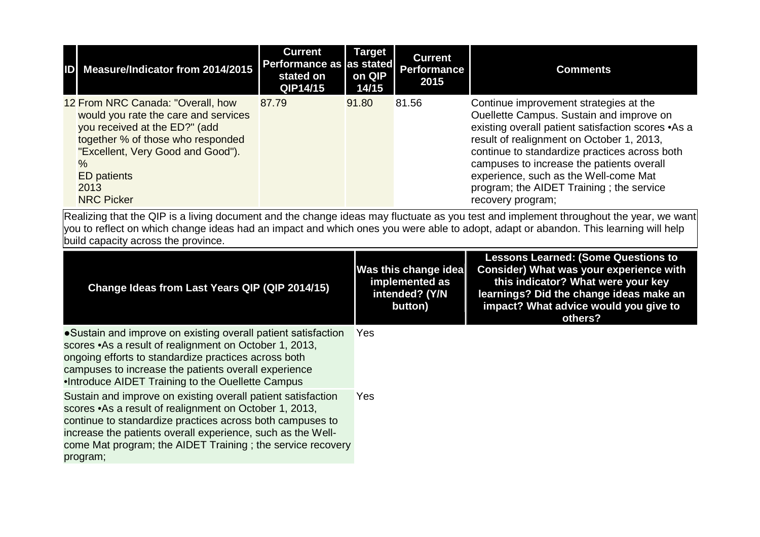| ID Measure/Indicator from 2014/2015                                                                                                                                                                                                             | <b>Current</b><br>Performance as as stated<br>stated on<br>QIP14/15 | <b>Target</b><br>on QIP<br>14/15 | <b>Current</b><br>Performance<br>2015 | <b>Comments</b>                                                                                                                                                                                                                                                                                                                                                                               |
|-------------------------------------------------------------------------------------------------------------------------------------------------------------------------------------------------------------------------------------------------|---------------------------------------------------------------------|----------------------------------|---------------------------------------|-----------------------------------------------------------------------------------------------------------------------------------------------------------------------------------------------------------------------------------------------------------------------------------------------------------------------------------------------------------------------------------------------|
| 12 From NRC Canada: "Overall, how<br>would you rate the care and services<br>you received at the ED?" (add<br>together % of those who responded<br>"Excellent, Very Good and Good").<br>$\%$<br><b>ED</b> patients<br>2013<br><b>NRC Picker</b> | 87.79                                                               | 91.80                            | 81.56                                 | Continue improvement strategies at the<br>Ouellette Campus. Sustain and improve on<br>existing overall patient satisfaction scores .As a<br>result of realignment on October 1, 2013,<br>continue to standardize practices across both<br>campuses to increase the patients overall<br>experience, such as the Well-come Mat<br>program; the AIDET Training; the service<br>recovery program; |

| Change Ideas from Last Years QIP (QIP 2014/15)                                                                                                                                                                                                                                                                                | <b>Was this change idea</b><br>implemented as<br>intended? (Y/N<br>button) | <b>Lessons Learned: (Some Questions to</b><br><b>Consider) What was your experience with</b><br>this indicator? What were your key<br>learnings? Did the change ideas make an<br>impact? What advice would you give to<br>others? |
|-------------------------------------------------------------------------------------------------------------------------------------------------------------------------------------------------------------------------------------------------------------------------------------------------------------------------------|----------------------------------------------------------------------------|-----------------------------------------------------------------------------------------------------------------------------------------------------------------------------------------------------------------------------------|
| • Sustain and improve on existing overall patient satisfaction<br>scores • As a result of realignment on October 1, 2013,<br>ongoing efforts to standardize practices across both<br>campuses to increase the patients overall experience<br>.Introduce AIDET Training to the Ouellette Campus                                | Yes                                                                        |                                                                                                                                                                                                                                   |
| Sustain and improve on existing overall patient satisfaction<br>scores • As a result of realignment on October 1, 2013,<br>continue to standardize practices across both campuses to<br>increase the patients overall experience, such as the Well-<br>come Mat program; the AIDET Training; the service recovery<br>program; | Yes                                                                        |                                                                                                                                                                                                                                   |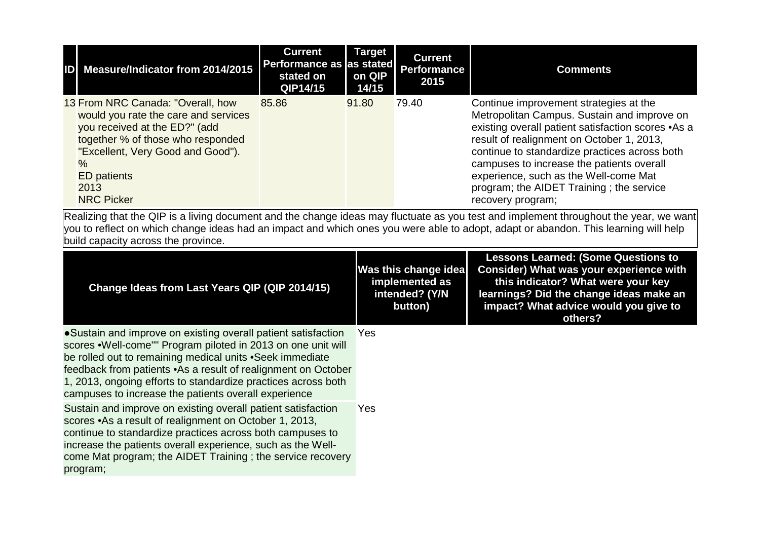| ID Measure/Indicator from 2014/2015                                                                                                                                                                                                             | <b>Current</b><br>Performance as as stated<br>stated on<br>QIP14/15 | <b>Target</b><br>on QIP<br>14/15 | <b>Current</b><br>Performance<br>2015 | <b>Comments</b>                                                                                                                                                                                                                                                                                                                                                                                  |
|-------------------------------------------------------------------------------------------------------------------------------------------------------------------------------------------------------------------------------------------------|---------------------------------------------------------------------|----------------------------------|---------------------------------------|--------------------------------------------------------------------------------------------------------------------------------------------------------------------------------------------------------------------------------------------------------------------------------------------------------------------------------------------------------------------------------------------------|
| 13 From NRC Canada: "Overall, how<br>would you rate the care and services<br>you received at the ED?" (add<br>together % of those who responded<br>"Excellent, Very Good and Good").<br>$\%$<br><b>ED</b> patients<br>2013<br><b>NRC Picker</b> | 85.86                                                               | 91.80                            | 79.40                                 | Continue improvement strategies at the<br>Metropolitan Campus. Sustain and improve on<br>existing overall patient satisfaction scores .As a<br>result of realignment on October 1, 2013,<br>continue to standardize practices across both<br>campuses to increase the patients overall<br>experience, such as the Well-come Mat<br>program; the AIDET Training; the service<br>recovery program; |

| Change Ideas from Last Years QIP (QIP 2014/15)                                                                                                                                                                                                                                                                                                                                        | Was this change idea<br>implemented as<br>intended? (Y/N<br>button) | <b>Lessons Learned: (Some Questions to</b><br><b>Consider) What was your experience with</b><br>this indicator? What were your key<br>learnings? Did the change ideas make an<br>impact? What advice would you give to<br>others? |
|---------------------------------------------------------------------------------------------------------------------------------------------------------------------------------------------------------------------------------------------------------------------------------------------------------------------------------------------------------------------------------------|---------------------------------------------------------------------|-----------------------------------------------------------------------------------------------------------------------------------------------------------------------------------------------------------------------------------|
| • Sustain and improve on existing overall patient satisfaction<br>scores .Well-come"" Program piloted in 2013 on one unit will<br>be rolled out to remaining medical units • Seek immediate<br>feedback from patients .As a result of realignment on October<br>1, 2013, ongoing efforts to standardize practices across both<br>campuses to increase the patients overall experience | Yes.                                                                |                                                                                                                                                                                                                                   |
| Sustain and improve on existing overall patient satisfaction<br>scores • As a result of realignment on October 1, 2013,<br>continue to standardize practices across both campuses to<br>increase the patients overall experience, such as the Well-<br>come Mat program; the AIDET Training; the service recovery<br>program;                                                         | Yes                                                                 |                                                                                                                                                                                                                                   |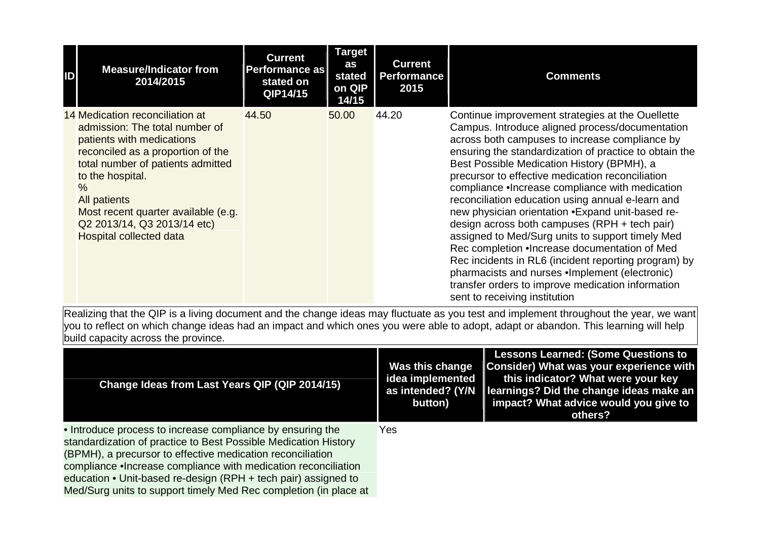| ID | <b>Measure/Indicator from</b><br>2014/2015                                                                                                                                                                                                                                                                                          | <b>Current</b><br>Performance as<br>stated on<br>QIP14/15 | <b>Target</b><br>as<br>stated<br>on QIP<br>14/15 | <b>Current</b><br><b>Performance</b><br>2015 | <b>Comments</b>                                                                                                                                                                                                                                                                                                                                                                                                                                                                                                                                                                                                                                                                                                                                                                                                                       |
|----|-------------------------------------------------------------------------------------------------------------------------------------------------------------------------------------------------------------------------------------------------------------------------------------------------------------------------------------|-----------------------------------------------------------|--------------------------------------------------|----------------------------------------------|---------------------------------------------------------------------------------------------------------------------------------------------------------------------------------------------------------------------------------------------------------------------------------------------------------------------------------------------------------------------------------------------------------------------------------------------------------------------------------------------------------------------------------------------------------------------------------------------------------------------------------------------------------------------------------------------------------------------------------------------------------------------------------------------------------------------------------------|
|    | 14 Medication reconciliation at<br>admission: The total number of<br>patients with medications<br>reconciled as a proportion of the<br>total number of patients admitted<br>to the hospital.<br>$\%$<br><b>All patients</b><br>Most recent quarter available (e.g.<br>Q2 2013/14, Q3 2013/14 etc)<br><b>Hospital collected data</b> | 44.50                                                     | 50.00                                            | 44.20                                        | Continue improvement strategies at the Ouellette<br>Campus. Introduce aligned process/documentation<br>across both campuses to increase compliance by<br>ensuring the standardization of practice to obtain the<br>Best Possible Medication History (BPMH), a<br>precursor to effective medication reconciliation<br>compliance . Increase compliance with medication<br>reconciliation education using annual e-learn and<br>new physician orientation .Expand unit-based re-<br>design across both campuses (RPH + tech pair)<br>assigned to Med/Surg units to support timely Med<br>Rec completion . Increase documentation of Med<br>Rec incidents in RL6 (incident reporting program) by<br>pharmacists and nurses .Implement (electronic)<br>transfer orders to improve medication information<br>sent to receiving institution |

| Change Ideas from Last Years QIP (QIP 2014/15)                                                                                                                                                                                                                                                                                                                                                       | Was this change<br>idea implemented<br>as intended? (Y/N<br>button) | <b>Lessons Learned: (Some Questions to</b><br>Consider) What was your experience with<br>this indicator? What were your key<br>learnings? Did the change ideas make an<br>impact? What advice would you give to<br>others? |
|------------------------------------------------------------------------------------------------------------------------------------------------------------------------------------------------------------------------------------------------------------------------------------------------------------------------------------------------------------------------------------------------------|---------------------------------------------------------------------|----------------------------------------------------------------------------------------------------------------------------------------------------------------------------------------------------------------------------|
| • Introduce process to increase compliance by ensuring the<br>standardization of practice to Best Possible Medication History<br>(BPMH), a precursor to effective medication reconciliation<br>compliance . Increase compliance with medication reconciliation<br>education • Unit-based re-design (RPH + tech pair) assigned to<br>Med/Surg units to support timely Med Rec completion (in place at | Yes.                                                                |                                                                                                                                                                                                                            |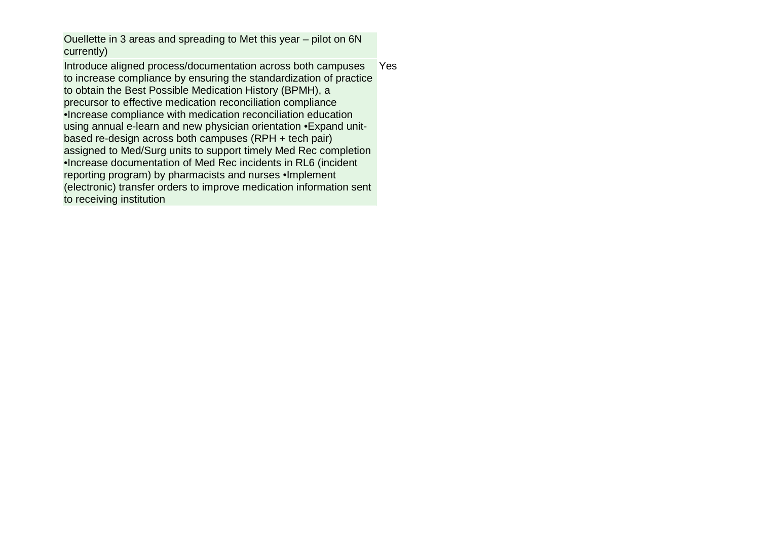Ouellette in 3 areas and spreading to Met this year – pilot on 6N currently)

Introduce aligned process/documentation across both campuses to increase compliance by ensuring the standardization of practice to obtain the Best Possible Medication History (BPMH), a precursor to effective medication reconciliation compliance •Increase compliance with medication reconciliation education using annual e-learn and new physician orientation •Expand unitbased re-design across both campuses (RPH + tech pair) assigned to Med/Surg units to support timely Med Rec completion •Increase documentation of Med Rec incidents in RL6 (incident reporting program) by pharmacists and nurses •Implement (electronic) transfer orders to improve medication information sent to receiving institution Yes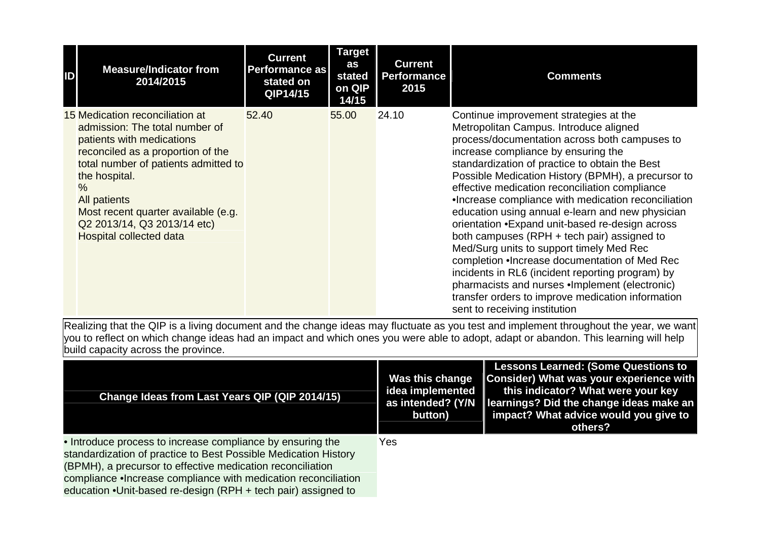| ID | <b>Measure/Indicator from</b><br>2014/2015                                                                                                                                                                                                                                                                                                   | <b>Current</b><br><b>Performance as</b><br>stated on<br>QIP14/15 | <b>Target</b><br>as<br>stated<br>on QIP<br>14/15 | <b>Current</b><br><b>Performance</b><br>2015 | <b>Comments</b>                                                                                                                                                                                                                                                                                                                                                                                                                                                                                                                                                                                                                                                                                                                                                                                                                            |
|----|----------------------------------------------------------------------------------------------------------------------------------------------------------------------------------------------------------------------------------------------------------------------------------------------------------------------------------------------|------------------------------------------------------------------|--------------------------------------------------|----------------------------------------------|--------------------------------------------------------------------------------------------------------------------------------------------------------------------------------------------------------------------------------------------------------------------------------------------------------------------------------------------------------------------------------------------------------------------------------------------------------------------------------------------------------------------------------------------------------------------------------------------------------------------------------------------------------------------------------------------------------------------------------------------------------------------------------------------------------------------------------------------|
|    | 15 Medication reconciliation at<br>admission: The total number of<br>patients with medications<br>reconciled as a proportion of the<br>total number of patients admitted to<br>the hospital.<br>$\frac{0}{0}$<br><b>All patients</b><br>Most recent quarter available (e.g.<br>Q2 2013/14, Q3 2013/14 etc)<br><b>Hospital collected data</b> | 52.40                                                            | 55.00                                            | 24.10                                        | Continue improvement strategies at the<br>Metropolitan Campus. Introduce aligned<br>process/documentation across both campuses to<br>increase compliance by ensuring the<br>standardization of practice to obtain the Best<br>Possible Medication History (BPMH), a precursor to<br>effective medication reconciliation compliance<br>•Increase compliance with medication reconciliation<br>education using annual e-learn and new physician<br>orientation • Expand unit-based re-design across<br>both campuses (RPH + tech pair) assigned to<br>Med/Surg units to support timely Med Rec<br>completion . Increase documentation of Med Rec<br>incidents in RL6 (incident reporting program) by<br>pharmacists and nurses .Implement (electronic)<br>transfer orders to improve medication information<br>sent to receiving institution |

| Change Ideas from Last Years QIP (QIP 2014/15)                                                                                                                                                                                                                                                                                  | Was this change<br>idea implemented<br>as intended? (Y/N<br>button) | Lessons Learned: (Some Questions to<br>Consider) What was your experience with<br>this indicator? What were your key<br>learnings? Did the change ideas make an<br>impact? What advice would you give to<br>others? |
|---------------------------------------------------------------------------------------------------------------------------------------------------------------------------------------------------------------------------------------------------------------------------------------------------------------------------------|---------------------------------------------------------------------|---------------------------------------------------------------------------------------------------------------------------------------------------------------------------------------------------------------------|
| • Introduce process to increase compliance by ensuring the<br>standardization of practice to Best Possible Medication History<br>(BPMH), a precursor to effective medication reconciliation<br>compliance . Increase compliance with medication reconciliation<br>education •Unit-based re-design (RPH + tech pair) assigned to | Yes                                                                 |                                                                                                                                                                                                                     |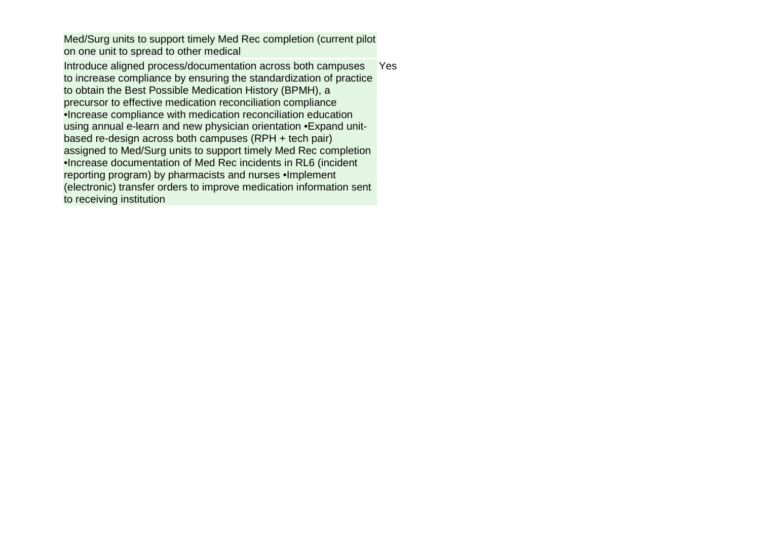Med/Surg units to support timely Med Rec completion (current pilot on one unit to spread to other medical

Introduce aligned process/documentation across both campuses to increase compliance by ensuring the standardization of practice to obtain the Best Possible Medication History (BPMH), a precursor to effective medication reconciliation compliance •Increase compliance with medication reconciliation education using annual e-learn and new physician orientation •Expand unitbased re-design across both campuses (RPH + tech pair) assigned to Med/Surg units to support timely Med Rec completion •Increase documentation of Med Rec incidents in RL6 (incident reporting program) by pharmacists and nurses •Implement (electronic) transfer orders to improve medication information sent to receiving institution Yes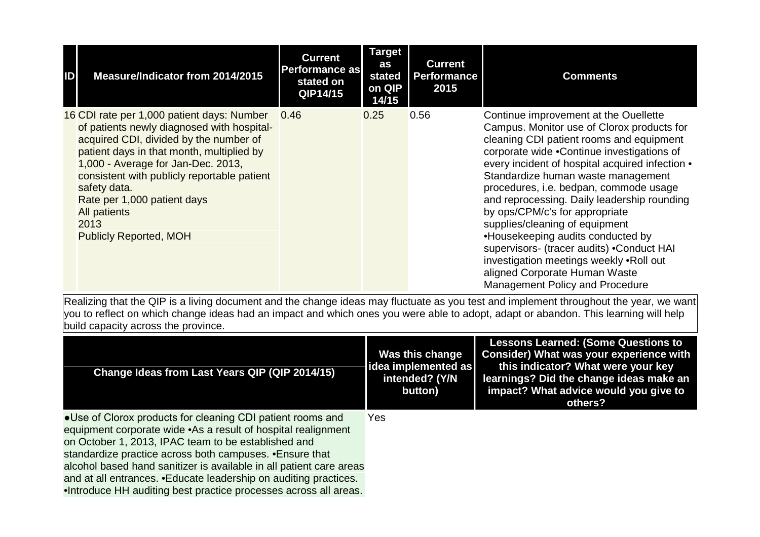| IDI | Measure/Indicator from 2014/2015                                                                                                                                                                                                                                                                                                                                                    | <b>Current</b><br>Performance as<br>stated on<br>QIP14/15 | <b>Target</b><br>as<br>stated<br>on QIP<br>14/15 | <b>Current</b><br><b>Performance</b><br>2015 | <b>Comments</b>                                                                                                                                                                                                                                                                                                                                                                                                                                                                                                                                                                                                                      |
|-----|-------------------------------------------------------------------------------------------------------------------------------------------------------------------------------------------------------------------------------------------------------------------------------------------------------------------------------------------------------------------------------------|-----------------------------------------------------------|--------------------------------------------------|----------------------------------------------|--------------------------------------------------------------------------------------------------------------------------------------------------------------------------------------------------------------------------------------------------------------------------------------------------------------------------------------------------------------------------------------------------------------------------------------------------------------------------------------------------------------------------------------------------------------------------------------------------------------------------------------|
|     | 16 CDI rate per 1,000 patient days: Number<br>of patients newly diagnosed with hospital-<br>acquired CDI, divided by the number of<br>patient days in that month, multiplied by<br>1,000 - Average for Jan-Dec. 2013,<br>consistent with publicly reportable patient<br>safety data.<br>Rate per 1,000 patient days<br><b>All patients</b><br>2013<br><b>Publicly Reported, MOH</b> | 0.46                                                      | 0.25                                             | 0.56                                         | Continue improvement at the Ouellette<br>Campus. Monitor use of Clorox products for<br>cleaning CDI patient rooms and equipment<br>corporate wide .Continue investigations of<br>every incident of hospital acquired infection •<br>Standardize human waste management<br>procedures, i.e. bedpan, commode usage<br>and reprocessing. Daily leadership rounding<br>by ops/CPM/c's for appropriate<br>supplies/cleaning of equipment<br>•Housekeeping audits conducted by<br>supervisors- (tracer audits) .Conduct HAI<br>investigation meetings weekly .Roll out<br>aligned Corporate Human Waste<br>Management Policy and Procedure |

| Change Ideas from Last Years QIP (QIP 2014/15)                                                                                                                                                                                                                                                                                                                                                                                                                  | Was this change<br> idea implemented as <br>intended? (Y/N<br>button) | <b>Lessons Learned: (Some Questions to</b><br><b>Consider) What was your experience with</b><br>this indicator? What were your key<br>learnings? Did the change ideas make an<br>impact? What advice would you give to<br>others? |
|-----------------------------------------------------------------------------------------------------------------------------------------------------------------------------------------------------------------------------------------------------------------------------------------------------------------------------------------------------------------------------------------------------------------------------------------------------------------|-----------------------------------------------------------------------|-----------------------------------------------------------------------------------------------------------------------------------------------------------------------------------------------------------------------------------|
| • Use of Clorox products for cleaning CDI patient rooms and<br>equipment corporate wide .As a result of hospital realignment<br>on October 1, 2013, IPAC team to be established and<br>standardize practice across both campuses. • Ensure that<br>alcohol based hand sanitizer is available in all patient care areas<br>and at all entrances. • Educate leadership on auditing practices.<br>.Introduce HH auditing best practice processes across all areas. | <b>Yes</b>                                                            |                                                                                                                                                                                                                                   |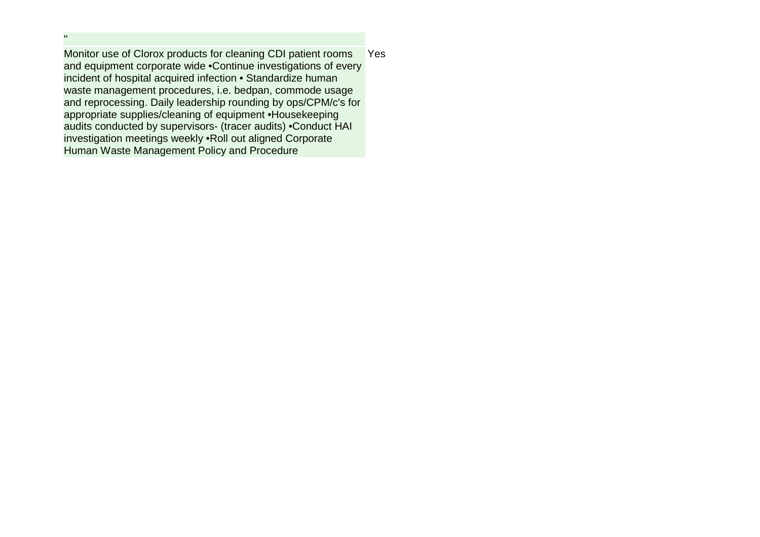Monitor use of Clorox products for cleaning CDI patient rooms and equipment corporate wide •Continue investigations of every incident of hospital acquired infection • Standardize human waste management procedures, i.e. bedpan, commode usage and reprocessing. Daily leadership rounding by ops/CPM/c's for appropriate supplies/cleaning of equipment •Housekeeping audits conducted by supervisors- (tracer audits) •Conduct HAI investigation meetings weekly •Roll out aligned Corporate Human Waste Management Policy and Procedure **Yes** 

"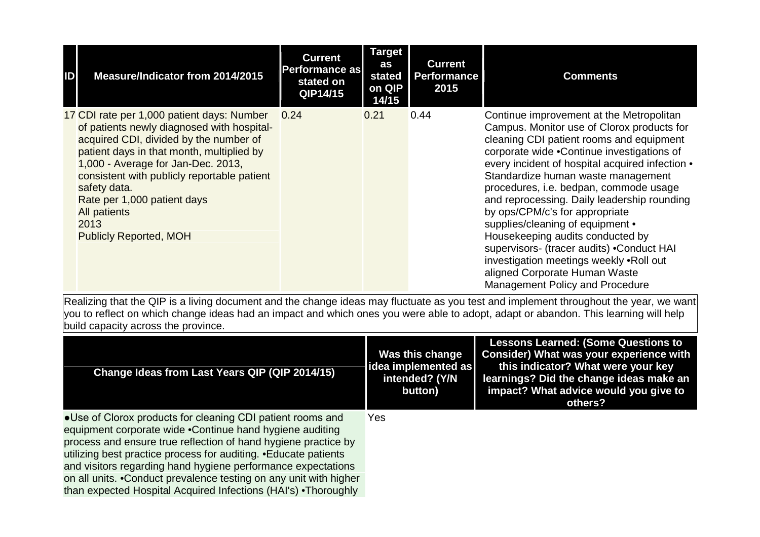| ID | Measure/Indicator from 2014/2015                                                                                                                                                                                                                                                                                                                                                    | <b>Current</b><br><b>Performance as</b><br>stated on<br>QIP14/15 | <b>Target</b><br>as<br>stated<br>on QIP<br>14/15 | <b>Current</b><br><b>Performance</b><br>2015 | <b>Comments</b>                                                                                                                                                                                                                                                                                                                                                                                                                                                                                                                                                                                                                          |
|----|-------------------------------------------------------------------------------------------------------------------------------------------------------------------------------------------------------------------------------------------------------------------------------------------------------------------------------------------------------------------------------------|------------------------------------------------------------------|--------------------------------------------------|----------------------------------------------|------------------------------------------------------------------------------------------------------------------------------------------------------------------------------------------------------------------------------------------------------------------------------------------------------------------------------------------------------------------------------------------------------------------------------------------------------------------------------------------------------------------------------------------------------------------------------------------------------------------------------------------|
|    | 17 CDI rate per 1,000 patient days: Number<br>of patients newly diagnosed with hospital-<br>acquired CDI, divided by the number of<br>patient days in that month, multiplied by<br>1,000 - Average for Jan-Dec. 2013,<br>consistent with publicly reportable patient<br>safety data.<br>Rate per 1,000 patient days<br><b>All patients</b><br>2013<br><b>Publicly Reported, MOH</b> | 0.24                                                             | 0.21                                             | 0.44                                         | Continue improvement at the Metropolitan<br>Campus. Monitor use of Clorox products for<br>cleaning CDI patient rooms and equipment<br>corporate wide .Continue investigations of<br>every incident of hospital acquired infection •<br>Standardize human waste management<br>procedures, i.e. bedpan, commode usage<br>and reprocessing. Daily leadership rounding<br>by ops/CPM/c's for appropriate<br>supplies/cleaning of equipment •<br>Housekeeping audits conducted by<br>supervisors- (tracer audits) .Conduct HAI<br>investigation meetings weekly .Roll out<br>aligned Corporate Human Waste<br>Management Policy and Procedure |

| Change Ideas from Last Years QIP (QIP 2014/15)                                                                                                                                                                                                                                                                                                                                                                                                                         | Was this change<br>idea implemented as<br>intended? (Y/N<br>button) | <b>Lessons Learned: (Some Questions to</b><br><b>Consider) What was your experience with</b><br>this indicator? What were your key<br>learnings? Did the change ideas make an<br>impact? What advice would you give to<br>others? |
|------------------------------------------------------------------------------------------------------------------------------------------------------------------------------------------------------------------------------------------------------------------------------------------------------------------------------------------------------------------------------------------------------------------------------------------------------------------------|---------------------------------------------------------------------|-----------------------------------------------------------------------------------------------------------------------------------------------------------------------------------------------------------------------------------|
| • Use of Clorox products for cleaning CDI patient rooms and<br>equipment corporate wide .Continue hand hygiene auditing<br>process and ensure true reflection of hand hygiene practice by<br>utilizing best practice process for auditing. • Educate patients<br>and visitors regarding hand hygiene performance expectations<br>on all units. • Conduct prevalence testing on any unit with higher<br>than expected Hospital Acquired Infections (HAI's) • Thoroughly | <b>Yes</b>                                                          |                                                                                                                                                                                                                                   |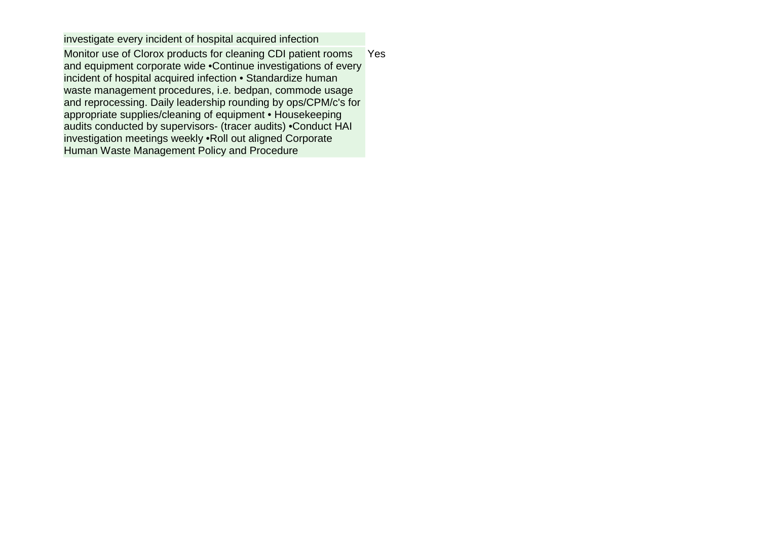investigate every incident of hospital acquired infection Monitor use of Clorox products for cleaning CDI patient rooms and equipment corporate wide •Continue investigations of every incident of hospital acquired infection • Standardize human waste management procedures, i.e. bedpan, commode usage and reprocessing. Daily leadership rounding by ops/CPM/c's for appropriate supplies/cleaning of equipment • Housekeeping audits conducted by supervisors- (tracer audits) •Conduct HAI investigation meetings weekly •Roll out aligned Corporate Human Waste Management Policy and Procedure **Yes**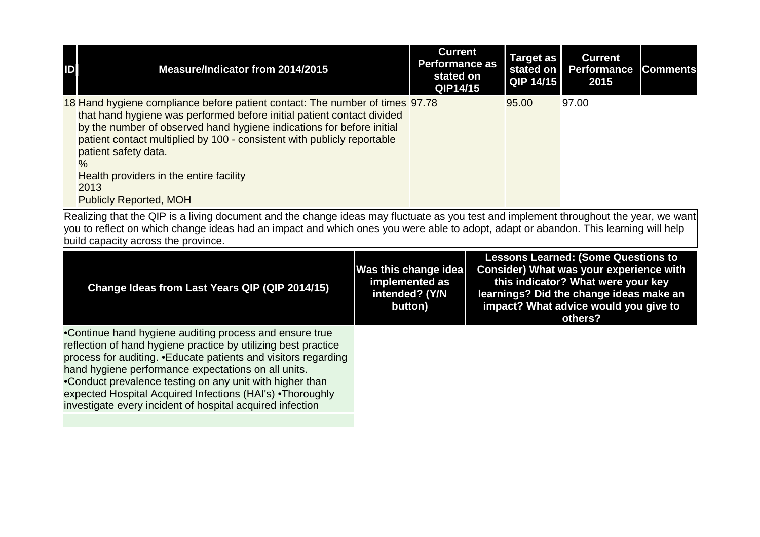| D | Measure/Indicator from 2014/2015                                                                                                                                                                                                                                                                                                                                                                                               | <b>Current</b><br><b>Performance as</b><br>stated on<br>QIP14/15 | Target as<br>stated on<br><b>QIP 14/15</b> | <b>Current</b><br><b>Performance</b><br>2015 | <b>Comments</b> |
|---|--------------------------------------------------------------------------------------------------------------------------------------------------------------------------------------------------------------------------------------------------------------------------------------------------------------------------------------------------------------------------------------------------------------------------------|------------------------------------------------------------------|--------------------------------------------|----------------------------------------------|-----------------|
|   | 18 Hand hygiene compliance before patient contact: The number of times 97.78<br>that hand hygiene was performed before initial patient contact divided<br>by the number of observed hand hygiene indications for before initial<br>patient contact multiplied by 100 - consistent with publicly reportable<br>patient safety data.<br>$\%$<br>Health providers in the entire facility<br>2013<br><b>Publicly Reported, MOH</b> |                                                                  | 95.00                                      | 97.00                                        |                 |

| Change Ideas from Last Years QIP (QIP 2014/15)                                                                                                                                                                                                                                                                                                                                                                                             | Was this change idea<br>implemented as<br>intended? (Y/N<br>button) | <b>Lessons Learned: (Some Questions to</b><br>Consider) What was your experience with<br>this indicator? What were your key<br>learnings? Did the change ideas make an<br>impact? What advice would you give to<br>others? |
|--------------------------------------------------------------------------------------------------------------------------------------------------------------------------------------------------------------------------------------------------------------------------------------------------------------------------------------------------------------------------------------------------------------------------------------------|---------------------------------------------------------------------|----------------------------------------------------------------------------------------------------------------------------------------------------------------------------------------------------------------------------|
| .Continue hand hygiene auditing process and ensure true<br>reflection of hand hygiene practice by utilizing best practice<br>process for auditing. • Educate patients and visitors regarding<br>hand hygiene performance expectations on all units.<br>•Conduct prevalence testing on any unit with higher than<br>expected Hospital Acquired Infections (HAI's) • Thoroughly<br>investigate every incident of hospital acquired infection |                                                                     |                                                                                                                                                                                                                            |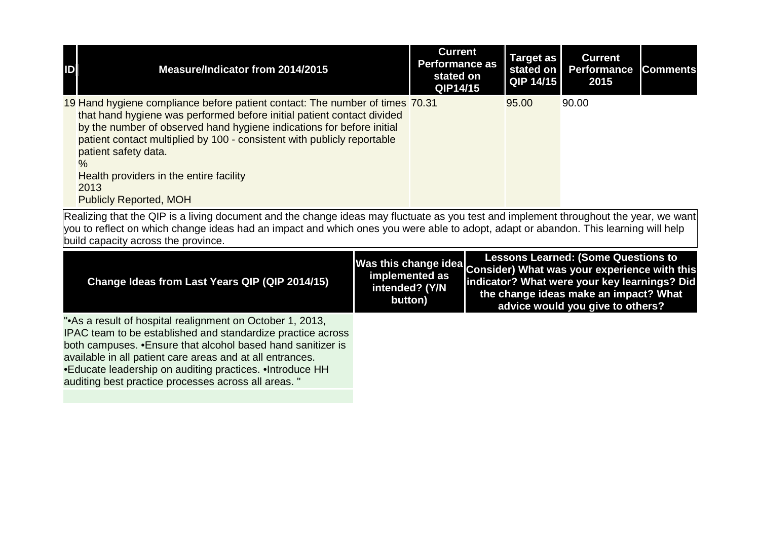| ID | Measure/Indicator from 2014/2015                                                                                                                                                                                                                                                                                                                                                                                                        | <b>Current</b><br><b>Performance as</b><br>stated on<br>QIP14/15 | Target as<br>stated on<br>QIP 14/15 | <b>Current</b><br><b>Performance</b><br>2015 | <b>Comments</b> |
|----|-----------------------------------------------------------------------------------------------------------------------------------------------------------------------------------------------------------------------------------------------------------------------------------------------------------------------------------------------------------------------------------------------------------------------------------------|------------------------------------------------------------------|-------------------------------------|----------------------------------------------|-----------------|
|    | 19 Hand hygiene compliance before patient contact: The number of times 70.31<br>that hand hygiene was performed before initial patient contact divided<br>by the number of observed hand hygiene indications for before initial<br>patient contact multiplied by 100 - consistent with publicly reportable<br>patient safety data.<br>$\frac{0}{6}$<br>Health providers in the entire facility<br>2013<br><b>Publicly Reported, MOH</b> |                                                                  | 95.00                               | 90.00                                        |                 |

| Change Ideas from Last Years QIP (QIP 2014/15)                                                                                                                                                                                                                                                                                                                           | intended? (Y/N<br>button) | <b>Lessons Learned: (Some Questions to</b><br>Was this change idea Consider) What was your experience with this<br>indicator? What were your key learnings? Did<br>the change ideas make an impact? What<br>advice would you give to others? |
|--------------------------------------------------------------------------------------------------------------------------------------------------------------------------------------------------------------------------------------------------------------------------------------------------------------------------------------------------------------------------|---------------------------|----------------------------------------------------------------------------------------------------------------------------------------------------------------------------------------------------------------------------------------------|
| "As a result of hospital realignment on October 1, 2013,<br>IPAC team to be established and standardize practice across<br>both campuses. • Ensure that alcohol based hand sanitizer is<br>available in all patient care areas and at all entrances.<br>•Educate leadership on auditing practices. •Introduce HH<br>auditing best practice processes across all areas. " |                           |                                                                                                                                                                                                                                              |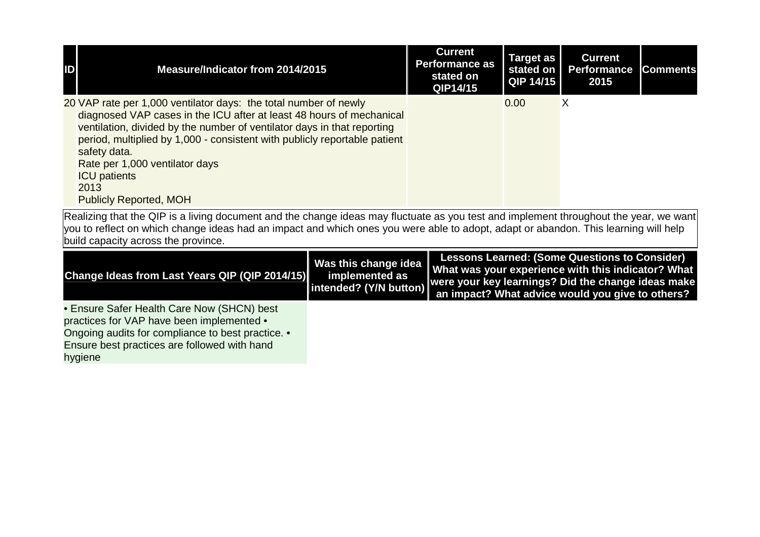| $\mathbf{D}$ | Measure/Indicator from 2014/2015                                                                                                                                                                                                                                                                                                                                                                                   | <b>Current</b><br><b>Performance as</b><br>stated on<br>QIP14/15 | Target as  <br>stated on  <br>QIP 14/15 | <b>Current</b><br><b>Performance</b><br>2015 | <b>Comments</b> |
|--------------|--------------------------------------------------------------------------------------------------------------------------------------------------------------------------------------------------------------------------------------------------------------------------------------------------------------------------------------------------------------------------------------------------------------------|------------------------------------------------------------------|-----------------------------------------|----------------------------------------------|-----------------|
|              | 20 VAP rate per 1,000 ventilator days: the total number of newly<br>diagnosed VAP cases in the ICU after at least 48 hours of mechanical<br>ventilation, divided by the number of ventilator days in that reporting<br>period, multiplied by 1,000 - consistent with publicly reportable patient<br>safety data.<br>Rate per 1,000 ventilator days<br><b>ICU</b> patients<br>2013<br><b>Publicly Reported, MOH</b> |                                                                  | 0.00                                    | Х                                            |                 |

| Change Ideas from Last Years QIP (QIP 2014/15)    | <b>Lessons Learned: (Some Questions to Consider)</b><br>Was this change idea<br>What was your experience with this indicator? What<br>Intended? (Y/N button) were your key learnings? Did the change ideas make<br>an impact? What advice would you give to others? |
|---------------------------------------------------|---------------------------------------------------------------------------------------------------------------------------------------------------------------------------------------------------------------------------------------------------------------------|
| • Ensure Safer Health Care Now (SHCN) best        |                                                                                                                                                                                                                                                                     |
| practices for VAP have been implemented •         |                                                                                                                                                                                                                                                                     |
| Ongoing audits for compliance to best practice. • |                                                                                                                                                                                                                                                                     |
| Ensure best practices are followed with hand      |                                                                                                                                                                                                                                                                     |
| hygiene                                           |                                                                                                                                                                                                                                                                     |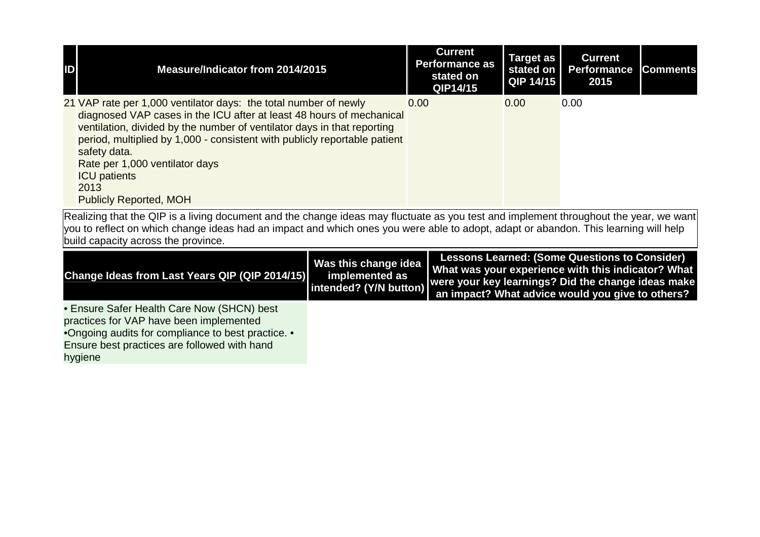| $\blacksquare$ | Measure/Indicator from 2014/2015                                                                                                                                                                                                                                                                                                                                                                                   | <b>Current</b><br><b>Performance as</b><br>stated on<br>QIP14/15 | Target as<br>stated on<br>QIP 14/15 | <b>Current</b><br><b>Performance</b><br>2015 | <b>Comments</b> |
|----------------|--------------------------------------------------------------------------------------------------------------------------------------------------------------------------------------------------------------------------------------------------------------------------------------------------------------------------------------------------------------------------------------------------------------------|------------------------------------------------------------------|-------------------------------------|----------------------------------------------|-----------------|
|                | 21 VAP rate per 1,000 ventilator days: the total number of newly<br>diagnosed VAP cases in the ICU after at least 48 hours of mechanical<br>ventilation, divided by the number of ventilator days in that reporting<br>period, multiplied by 1,000 - consistent with publicly reportable patient<br>safety data.<br>Rate per 1,000 ventilator days<br><b>ICU</b> patients<br>2013<br><b>Publicly Reported, MOH</b> | 0.00                                                             | 0.00                                | 0.00                                         |                 |

| Change Ideas from Last Years QIP (QIP 2014/15)     | Was this change idea  <br>implemented as | <b>Lessons Learned: (Some Questions to Consider)</b><br>What was your experience with this indicator? What<br>Intended? (Y/N button) were your key learnings? Did the change ideas make<br>an impact? What advice would you give to others? |
|----------------------------------------------------|------------------------------------------|---------------------------------------------------------------------------------------------------------------------------------------------------------------------------------------------------------------------------------------------|
| • Ensure Safer Health Care Now (SHCN) best         |                                          |                                                                                                                                                                                                                                             |
| practices for VAP have been implemented            |                                          |                                                                                                                                                                                                                                             |
| •Ongoing audits for compliance to best practice. • |                                          |                                                                                                                                                                                                                                             |
| Ensure best practices are followed with hand       |                                          |                                                                                                                                                                                                                                             |
| hygiene                                            |                                          |                                                                                                                                                                                                                                             |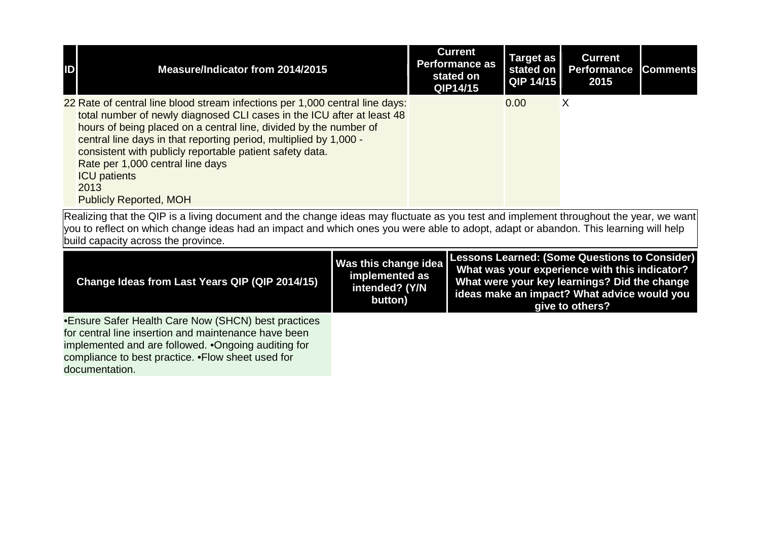| ID | Measure/Indicator from 2014/2015                                                                                                                                                                                                                                                                                                                                                                                                                                 | <b>Current</b><br><b>Performance as</b><br>stated on<br>QIP14/15 | <b>Target as</b><br>QIP 14/15 | <b>Current</b><br>stated on   Performance<br>2015 | <b>Comments</b> |
|----|------------------------------------------------------------------------------------------------------------------------------------------------------------------------------------------------------------------------------------------------------------------------------------------------------------------------------------------------------------------------------------------------------------------------------------------------------------------|------------------------------------------------------------------|-------------------------------|---------------------------------------------------|-----------------|
|    | 22 Rate of central line blood stream infections per 1,000 central line days:<br>total number of newly diagnosed CLI cases in the ICU after at least 48<br>hours of being placed on a central line, divided by the number of<br>central line days in that reporting period, multiplied by 1,000 -<br>consistent with publicly reportable patient safety data.<br>Rate per 1,000 central line days<br><b>ICU</b> patients<br>2013<br><b>Publicly Reported, MOH</b> |                                                                  | 0.00                          | Х                                                 |                 |

| Change Ideas from Last Years QIP (QIP 2014/15)       | Was this change idea<br>implemented as<br>intended? (Y/N<br>button) | <b>Lessons Learned: (Some Questions to Consider)</b><br>What was your experience with this indicator?<br>What were your key learnings? Did the change<br>ideas make an impact? What advice would you<br>give to others? |
|------------------------------------------------------|---------------------------------------------------------------------|-------------------------------------------------------------------------------------------------------------------------------------------------------------------------------------------------------------------------|
| •Ensure Safer Health Care Now (SHCN) best practices  |                                                                     |                                                                                                                                                                                                                         |
| for central line insertion and maintenance have been |                                                                     |                                                                                                                                                                                                                         |
| implemented and are followed. • Ongoing auditing for |                                                                     |                                                                                                                                                                                                                         |
| compliance to best practice. • Flow sheet used for   |                                                                     |                                                                                                                                                                                                                         |
| documentation.                                       |                                                                     |                                                                                                                                                                                                                         |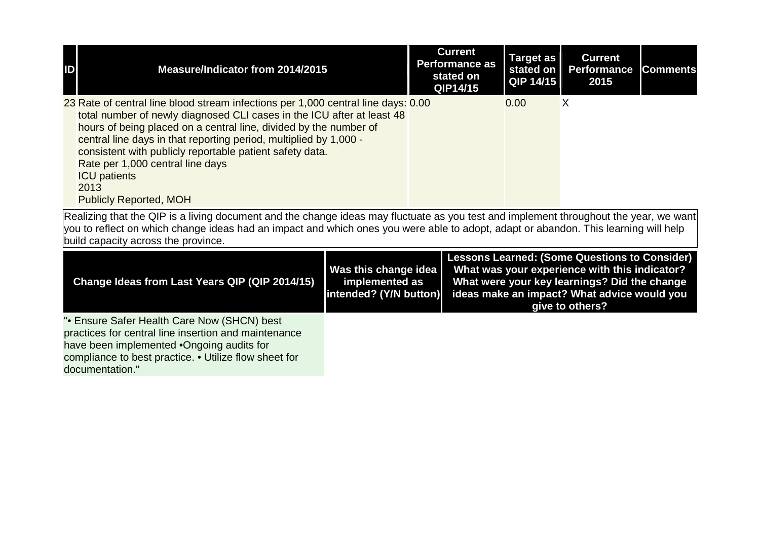| ID | Measure/Indicator from 2014/2015                                                                                                                                                                                                                                                                                                                                                                                                                                      | <b>Current</b><br><b>Performance as</b><br>stated on<br>QIP14/15 | <b>Target as</b><br>stated on<br>QIP 14/15 | <b>Current</b><br><b>Performance</b><br>2015 | <b>Comments</b> |
|----|-----------------------------------------------------------------------------------------------------------------------------------------------------------------------------------------------------------------------------------------------------------------------------------------------------------------------------------------------------------------------------------------------------------------------------------------------------------------------|------------------------------------------------------------------|--------------------------------------------|----------------------------------------------|-----------------|
|    | 23 Rate of central line blood stream infections per 1,000 central line days: 0.00<br>total number of newly diagnosed CLI cases in the ICU after at least 48<br>hours of being placed on a central line, divided by the number of<br>central line days in that reporting period, multiplied by 1,000 -<br>consistent with publicly reportable patient safety data.<br>Rate per 1,000 central line days<br><b>ICU</b> patients<br>2013<br><b>Publicly Reported, MOH</b> |                                                                  | 0.00                                       | Χ                                            |                 |

| Change Ideas from Last Years QIP (QIP 2014/15)                                                                                                                                                                               | Was this change idea  <br>implemented as | <b>Lessons Learned: (Some Questions to Consider)</b><br>What was your experience with this indicator?<br>What were your key learnings? Did the change<br>[intended? (Y/N button) ideas make an impact? What advice would you<br>give to others? |
|------------------------------------------------------------------------------------------------------------------------------------------------------------------------------------------------------------------------------|------------------------------------------|-------------------------------------------------------------------------------------------------------------------------------------------------------------------------------------------------------------------------------------------------|
| "• Ensure Safer Health Care Now (SHCN) best<br>practices for central line insertion and maintenance<br>have been implemented •Ongoing audits for<br>compliance to best practice. • Utilize flow sheet for<br>documentation." |                                          |                                                                                                                                                                                                                                                 |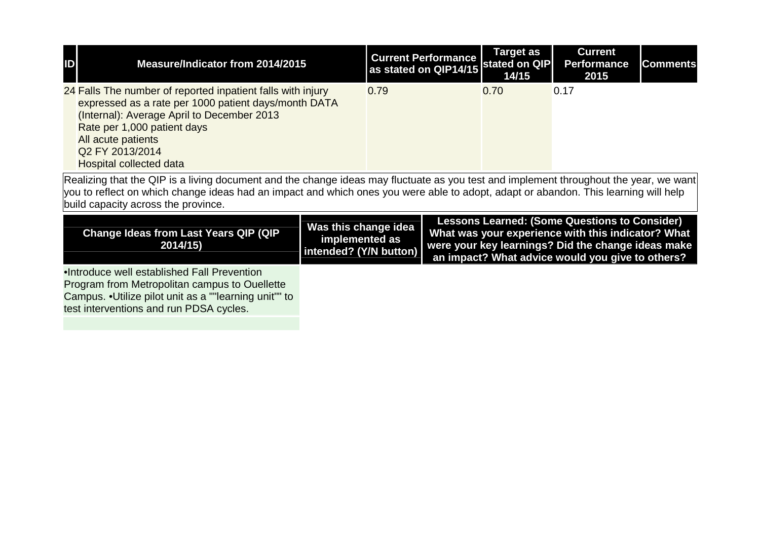| ID                                                                                                                                                                                                                                                                                                                  | Measure/Indicator from 2014/2015                                                                                                                                                                                                                                            |                                                                  |      | <b>Current Performance</b><br>as stated on QIP14/15 | <b>Target as</b><br>stated on QIP<br>14/15 | <b>Current</b><br><b>Performance</b><br>2015                                                                                                                                                                         | <b>Comments</b> |
|---------------------------------------------------------------------------------------------------------------------------------------------------------------------------------------------------------------------------------------------------------------------------------------------------------------------|-----------------------------------------------------------------------------------------------------------------------------------------------------------------------------------------------------------------------------------------------------------------------------|------------------------------------------------------------------|------|-----------------------------------------------------|--------------------------------------------|----------------------------------------------------------------------------------------------------------------------------------------------------------------------------------------------------------------------|-----------------|
|                                                                                                                                                                                                                                                                                                                     | 24 Falls The number of reported inpatient falls with injury<br>expressed as a rate per 1000 patient days/month DATA<br>(Internal): Average April to December 2013<br>Rate per 1,000 patient days<br>All acute patients<br>Q2 FY 2013/2014<br><b>Hospital collected data</b> |                                                                  | 0.79 |                                                     | 0.70                                       | 0.17                                                                                                                                                                                                                 |                 |
| Realizing that the QIP is a living document and the change ideas may fluctuate as you test and implement throughout the year, we want<br>you to reflect on which change ideas had an impact and which ones you were able to adopt, adapt or abandon. This learning will help<br>build capacity across the province. |                                                                                                                                                                                                                                                                             |                                                                  |      |                                                     |                                            |                                                                                                                                                                                                                      |                 |
| <b>Change Ideas from Last Years QIP (QIP</b><br>2014/15)                                                                                                                                                                                                                                                            |                                                                                                                                                                                                                                                                             | Was this change idea<br>implemented as<br>intended? (Y/N button) |      |                                                     |                                            | <b>Lessons Learned: (Some Questions to Consider)</b><br>What was your experience with this indicator? What<br>were your key learnings? Did the change ideas make<br>an impact? What advice would you give to others? |                 |
|                                                                                                                                                                                                                                                                                                                     | .Introduce well established Fall Prevention<br>Program from Metropolitan campus to Ouellette<br>Campus. . Utilize pilot unit as a ""learning unit"" to<br>test interventions and run PDSA cycles.                                                                           |                                                                  |      |                                                     |                                            |                                                                                                                                                                                                                      |                 |
|                                                                                                                                                                                                                                                                                                                     |                                                                                                                                                                                                                                                                             |                                                                  |      |                                                     |                                            |                                                                                                                                                                                                                      |                 |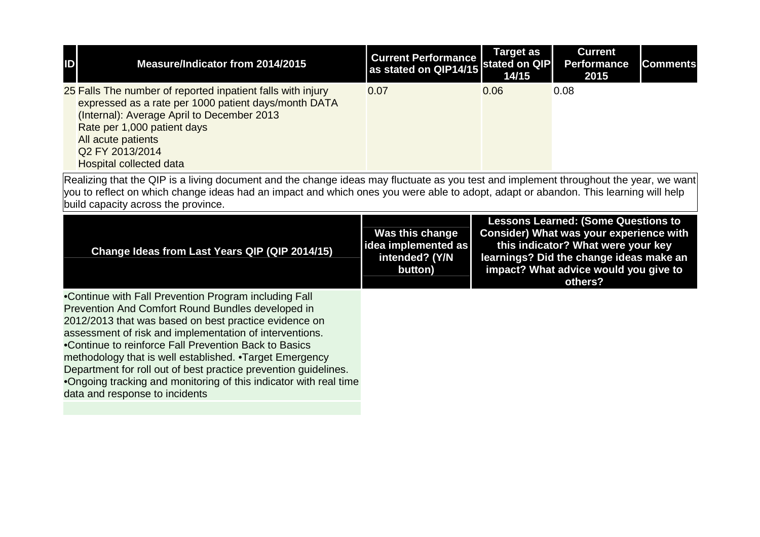| ID | Measure/Indicator from 2014/2015                                                                                                                                                                                                                                                                                                                                                                                                                                                                                              | <b>Current Performance</b><br>as stated on QIP14/15 stated on QIP   | <b>Target as</b><br>14/15 | <b>Current</b><br><b>Performance</b><br>2015                                                                                                                                                                               | <b>Comments</b> |  |  |
|----|-------------------------------------------------------------------------------------------------------------------------------------------------------------------------------------------------------------------------------------------------------------------------------------------------------------------------------------------------------------------------------------------------------------------------------------------------------------------------------------------------------------------------------|---------------------------------------------------------------------|---------------------------|----------------------------------------------------------------------------------------------------------------------------------------------------------------------------------------------------------------------------|-----------------|--|--|
|    | 25 Falls The number of reported inpatient falls with injury<br>expressed as a rate per 1000 patient days/month DATA<br>(Internal): Average April to December 2013<br>Rate per 1,000 patient days<br>All acute patients<br>Q2 FY 2013/2014<br><b>Hospital collected data</b>                                                                                                                                                                                                                                                   | 0.07                                                                | 0.06                      | 0.08                                                                                                                                                                                                                       |                 |  |  |
|    | Realizing that the QIP is a living document and the change ideas may fluctuate as you test and implement throughout the year, we want<br>you to reflect on which change ideas had an impact and which ones you were able to adopt, adapt or abandon. This learning will help<br>build capacity across the province.                                                                                                                                                                                                           |                                                                     |                           |                                                                                                                                                                                                                            |                 |  |  |
|    | Change Ideas from Last Years QIP (QIP 2014/15)                                                                                                                                                                                                                                                                                                                                                                                                                                                                                | Was this change<br>idea implemented as<br>intended? (Y/N<br>button) |                           | <b>Lessons Learned: (Some Questions to</b><br>Consider) What was your experience with<br>this indicator? What were your key<br>learnings? Did the change ideas make an<br>impact? What advice would you give to<br>others? |                 |  |  |
|    | •Continue with Fall Prevention Program including Fall<br>Prevention And Comfort Round Bundles developed in<br>2012/2013 that was based on best practice evidence on<br>assessment of risk and implementation of interventions.<br>•Continue to reinforce Fall Prevention Back to Basics<br>methodology that is well established. • Target Emergency<br>Department for roll out of best practice prevention guidelines.<br>.Ongoing tracking and monitoring of this indicator with real time<br>data and response to incidents |                                                                     |                           |                                                                                                                                                                                                                            |                 |  |  |
|    |                                                                                                                                                                                                                                                                                                                                                                                                                                                                                                                               |                                                                     |                           |                                                                                                                                                                                                                            |                 |  |  |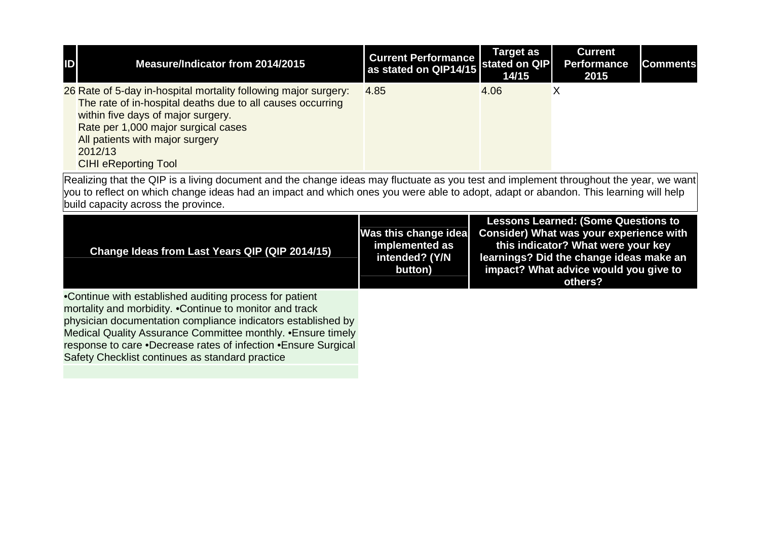| ID                                                                                                                                                                                                                                                                                                                  | Measure/Indicator from 2014/2015                                                                                                                                                                                                                                                                                                                                         | <b>Current Performance</b><br>as stated on QIP14/15                 | <b>Target as</b><br>stated on QIP<br>14/15                                                                                                                                                                                 | <b>Current</b><br><b>Performance</b><br>2015 | <b>Comments</b> |  |  |
|---------------------------------------------------------------------------------------------------------------------------------------------------------------------------------------------------------------------------------------------------------------------------------------------------------------------|--------------------------------------------------------------------------------------------------------------------------------------------------------------------------------------------------------------------------------------------------------------------------------------------------------------------------------------------------------------------------|---------------------------------------------------------------------|----------------------------------------------------------------------------------------------------------------------------------------------------------------------------------------------------------------------------|----------------------------------------------|-----------------|--|--|
|                                                                                                                                                                                                                                                                                                                     | 26 Rate of 5-day in-hospital mortality following major surgery:<br>The rate of in-hospital deaths due to all causes occurring<br>within five days of major surgery.<br>Rate per 1,000 major surgical cases<br>All patients with major surgery<br>2012/13<br><b>CIHI eReporting Tool</b>                                                                                  | 4.85                                                                | 4.06                                                                                                                                                                                                                       | $\overline{\mathsf{x}}$                      |                 |  |  |
| Realizing that the QIP is a living document and the change ideas may fluctuate as you test and implement throughout the year, we want<br>you to reflect on which change ideas had an impact and which ones you were able to adopt, adapt or abandon. This learning will help<br>build capacity across the province. |                                                                                                                                                                                                                                                                                                                                                                          |                                                                     |                                                                                                                                                                                                                            |                                              |                 |  |  |
|                                                                                                                                                                                                                                                                                                                     |                                                                                                                                                                                                                                                                                                                                                                          |                                                                     | <b>Lessons Learned: (Some Questions to</b><br>Consider) What was your experience with<br>this indicator? What were your key<br>learnings? Did the change ideas make an<br>impact? What advice would you give to<br>others? |                                              |                 |  |  |
|                                                                                                                                                                                                                                                                                                                     | Change Ideas from Last Years QIP (QIP 2014/15)                                                                                                                                                                                                                                                                                                                           | Was this change idea<br>implemented as<br>intended? (Y/N<br>button) |                                                                                                                                                                                                                            |                                              |                 |  |  |
|                                                                                                                                                                                                                                                                                                                     | •Continue with established auditing process for patient<br>mortality and morbidity. • Continue to monitor and track<br>physician documentation compliance indicators established by<br>Medical Quality Assurance Committee monthly. • Ensure timely<br>response to care .Decrease rates of infection .Ensure Surgical<br>Safety Checklist continues as standard practice |                                                                     |                                                                                                                                                                                                                            |                                              |                 |  |  |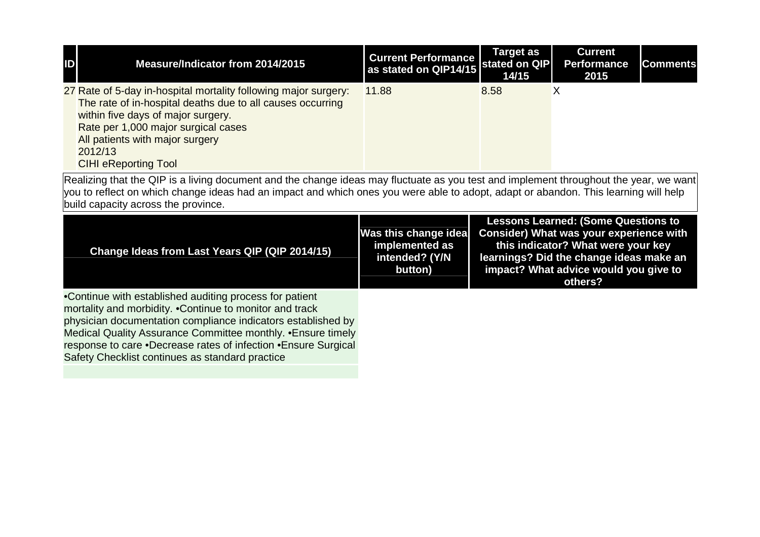| ID                                                                                                                                                                                                                                                                                                                  | Measure/Indicator from 2014/2015                                                                                                                                                                                                                                                                                                                                         | <b>Current Performance</b><br>as stated on QIP14/15                 | <b>Target as</b><br>stated on QIP<br>14/15 | <b>Current</b><br><b>Performance</b><br>2015                                                                                                                                                                               | <b>Comments</b> |  |  |
|---------------------------------------------------------------------------------------------------------------------------------------------------------------------------------------------------------------------------------------------------------------------------------------------------------------------|--------------------------------------------------------------------------------------------------------------------------------------------------------------------------------------------------------------------------------------------------------------------------------------------------------------------------------------------------------------------------|---------------------------------------------------------------------|--------------------------------------------|----------------------------------------------------------------------------------------------------------------------------------------------------------------------------------------------------------------------------|-----------------|--|--|
|                                                                                                                                                                                                                                                                                                                     | 27 Rate of 5-day in-hospital mortality following major surgery:<br>The rate of in-hospital deaths due to all causes occurring<br>within five days of major surgery.<br>Rate per 1,000 major surgical cases<br>All patients with major surgery<br>2012/13<br><b>CIHI eReporting Tool</b>                                                                                  | 11.88                                                               | 8.58                                       | $\overline{\mathsf{X}}$                                                                                                                                                                                                    |                 |  |  |
| Realizing that the QIP is a living document and the change ideas may fluctuate as you test and implement throughout the year, we want<br>you to reflect on which change ideas had an impact and which ones you were able to adopt, adapt or abandon. This learning will help<br>build capacity across the province. |                                                                                                                                                                                                                                                                                                                                                                          |                                                                     |                                            |                                                                                                                                                                                                                            |                 |  |  |
|                                                                                                                                                                                                                                                                                                                     |                                                                                                                                                                                                                                                                                                                                                                          |                                                                     |                                            |                                                                                                                                                                                                                            |                 |  |  |
|                                                                                                                                                                                                                                                                                                                     | Change Ideas from Last Years QIP (QIP 2014/15)                                                                                                                                                                                                                                                                                                                           | Was this change idea<br>implemented as<br>intended? (Y/N<br>button) |                                            | <b>Lessons Learned: (Some Questions to</b><br>Consider) What was your experience with<br>this indicator? What were your key<br>learnings? Did the change ideas make an<br>impact? What advice would you give to<br>others? |                 |  |  |
|                                                                                                                                                                                                                                                                                                                     | •Continue with established auditing process for patient<br>mortality and morbidity. • Continue to monitor and track<br>physician documentation compliance indicators established by<br>Medical Quality Assurance Committee monthly. • Ensure timely<br>response to care .Decrease rates of infection .Ensure Surgical<br>Safety Checklist continues as standard practice |                                                                     |                                            |                                                                                                                                                                                                                            |                 |  |  |